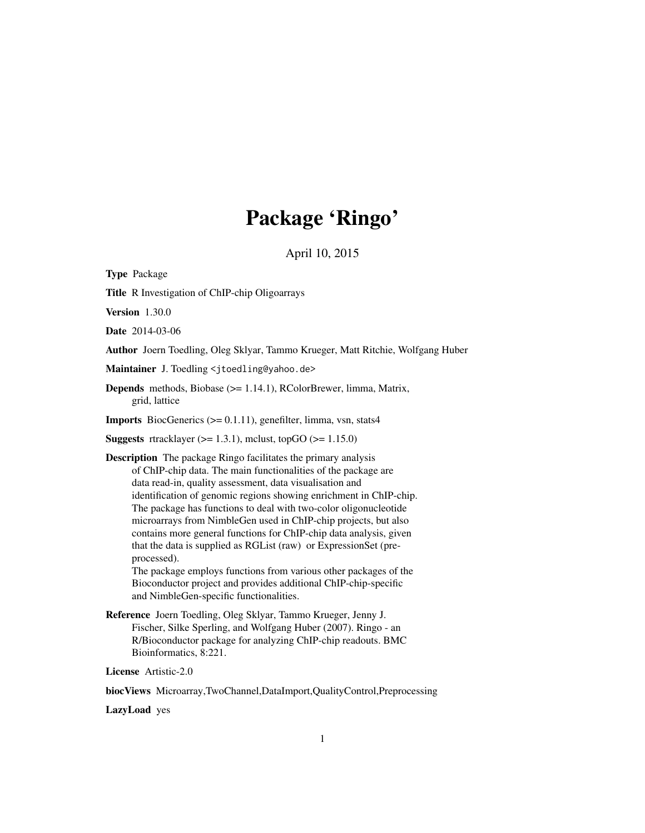# Package 'Ringo'

April 10, 2015

<span id="page-0-0"></span>Type Package Title R Investigation of ChIP-chip Oligoarrays Version 1.30.0 Date 2014-03-06 Author Joern Toedling, Oleg Sklyar, Tammo Krueger, Matt Ritchie, Wolfgang Huber Maintainer J. Toedling <jtoedling@yahoo.de> Depends methods, Biobase (>= 1.14.1), RColorBrewer, limma, Matrix, grid, lattice **Imports** BiocGenerics  $(>= 0.1.11)$ , genefilter, limma, vsn, stats4 **Suggests** rtracklayer ( $>= 1.3.1$ ), mclust, topGO ( $>= 1.15.0$ ) Description The package Ringo facilitates the primary analysis of ChIP-chip data. The main functionalities of the package are data read-in, quality assessment, data visualisation and identification of genomic regions showing enrichment in ChIP-chip. The package has functions to deal with two-color oligonucleotide microarrays from NimbleGen used in ChIP-chip projects, but also contains more general functions for ChIP-chip data analysis, given that the data is supplied as RGList (raw) or ExpressionSet (preprocessed). The package employs functions from various other packages of the Bioconductor project and provides additional ChIP-chip-specific and NimbleGen-specific functionalities. Reference Joern Toedling, Oleg Sklyar, Tammo Krueger, Jenny J. Fischer, Silke Sperling, and Wolfgang Huber (2007). Ringo - an

R/Bioconductor package for analyzing ChIP-chip readouts. BMC Bioinformatics, 8:221.

License Artistic-2.0

biocViews Microarray,TwoChannel,DataImport,QualityControl,Preprocessing

LazyLoad yes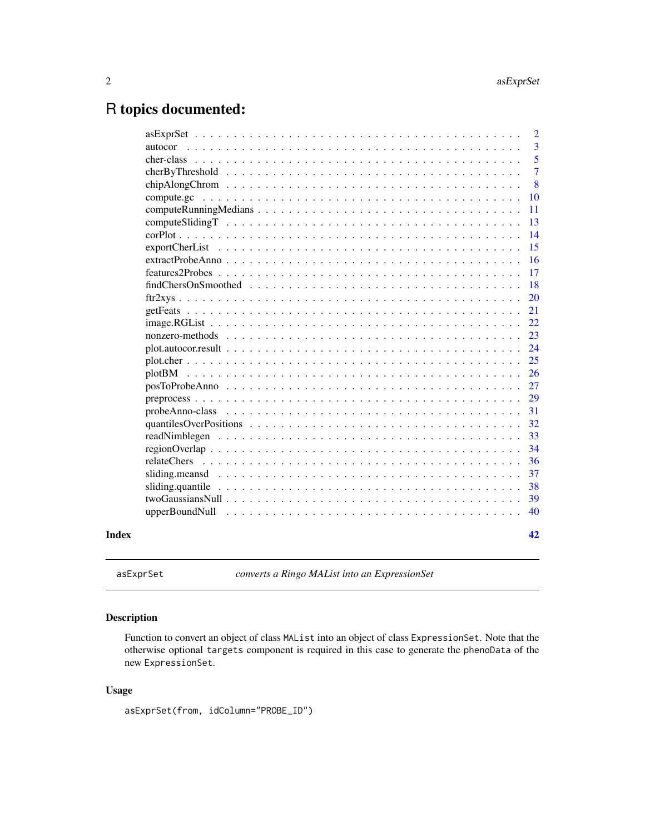# <span id="page-1-0"></span>R topics documented:

|       |                                                                                                                               | $\overline{2}$ |
|-------|-------------------------------------------------------------------------------------------------------------------------------|----------------|
|       |                                                                                                                               | $\overline{3}$ |
|       |                                                                                                                               | 5              |
|       |                                                                                                                               | $\overline{7}$ |
|       |                                                                                                                               | 8              |
|       | 10                                                                                                                            |                |
|       | 11                                                                                                                            |                |
|       | 13                                                                                                                            |                |
|       | 14                                                                                                                            |                |
|       | 15                                                                                                                            |                |
|       | 16                                                                                                                            |                |
|       | 17                                                                                                                            |                |
|       | 18                                                                                                                            |                |
|       | 20                                                                                                                            |                |
|       | 21                                                                                                                            |                |
|       | 22                                                                                                                            |                |
|       | 23                                                                                                                            |                |
|       | 24<br>$plot. autocor. result \dots \dots \dots \dots \dots \dots \dots \dots \dots \dots \dots \dots \dots \dots \dots \dots$ |                |
|       | 25                                                                                                                            |                |
|       | 26                                                                                                                            |                |
|       | 27                                                                                                                            |                |
|       | 29                                                                                                                            |                |
|       | 31                                                                                                                            |                |
|       | 32                                                                                                                            |                |
|       | 33                                                                                                                            |                |
|       | 34                                                                                                                            |                |
|       | 36<br>relateChers                                                                                                             |                |
|       | 37                                                                                                                            |                |
|       | 38                                                                                                                            |                |
|       | 39                                                                                                                            |                |
|       | 40                                                                                                                            |                |
| Index | 42                                                                                                                            |                |
|       |                                                                                                                               |                |

asExprSet *converts a Ringo MAList into an ExpressionSet*

# Description

Function to convert an object of class MAList into an object of class ExpressionSet. Note that the otherwise optional targets component is required in this case to generate the phenoData of the new ExpressionSet.

# Usage

asExprSet(from, idColumn="PROBE\_ID")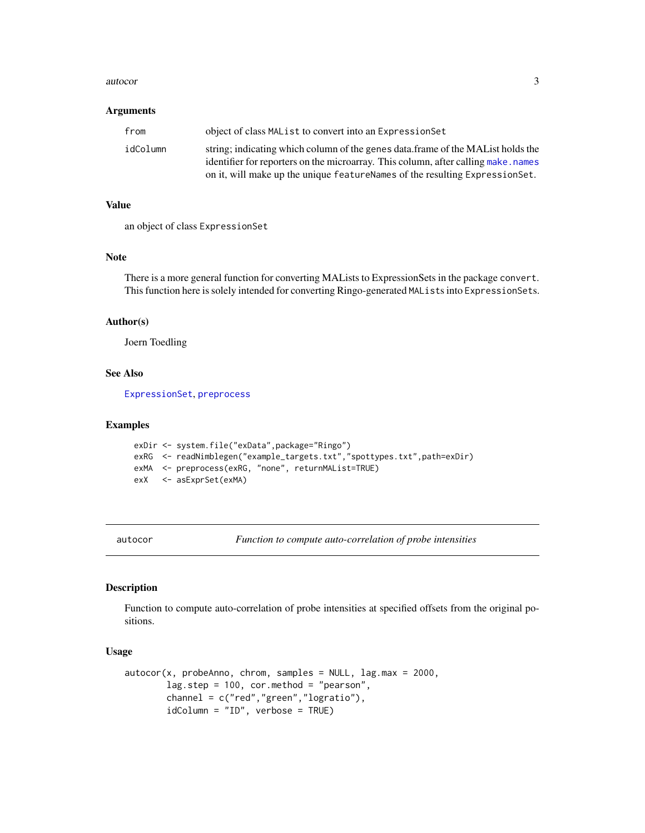#### <span id="page-2-0"></span>autocor 3

#### Arguments

| from     | object of class MAL ist to convert into an Expression Set                         |
|----------|-----------------------------------------------------------------------------------|
| idColumn | string; indicating which column of the genes data.frame of the MAL ist holds the  |
|          | identifier for reporters on the microarray. This column, after calling make.names |
|          | on it, will make up the unique feature Names of the resulting Expression Set.     |

#### Value

an object of class ExpressionSet

#### Note

There is a more general function for converting MALists to ExpressionSets in the package convert. This function here is solely intended for converting Ringo-generated MALists into ExpressionSets.

#### Author(s)

Joern Toedling

# See Also

[ExpressionSet](#page-0-0), [preprocess](#page-28-1)

#### Examples

```
exDir <- system.file("exData",package="Ringo")
exRG <- readNimblegen("example_targets.txt","spottypes.txt",path=exDir)
exMA <- preprocess(exRG, "none", returnMAList=TRUE)
exX <- asExprSet(exMA)
```
<span id="page-2-1"></span>

autocor *Function to compute auto-correlation of probe intensities*

#### Description

Function to compute auto-correlation of probe intensities at specified offsets from the original positions.

#### Usage

```
autocor(x, probeAnno, chrom, samples = NULL, lag.max = 2000,lag.step = 100, cor.method = "pearson",
       channel = c("red","green","logratio"),
        idColumn = "ID", verbose = TRUE)
```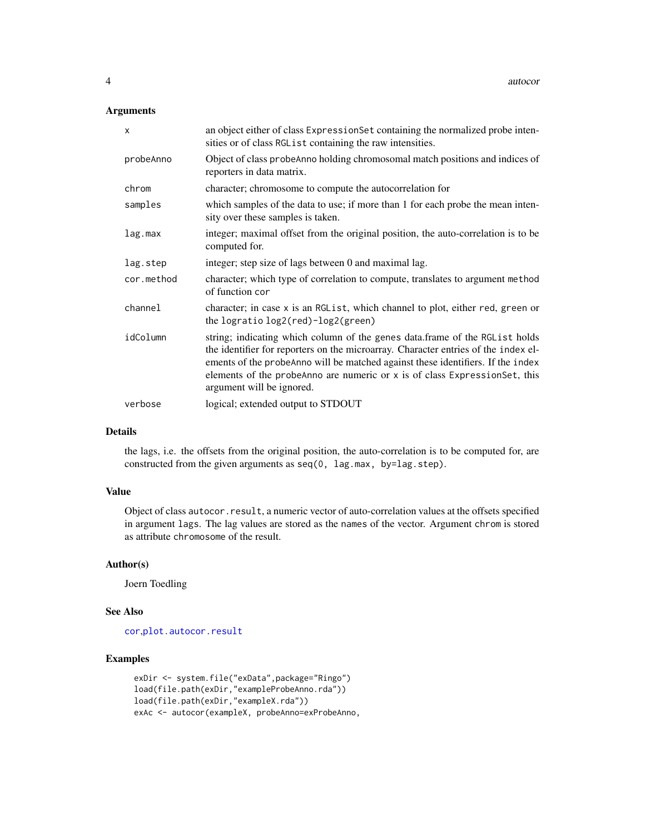# Arguments

| $\mathsf{x}$ | an object either of class Expression Set containing the normalized probe inten-<br>sities or of class RGL ist containing the raw intensities.                                                                                                                                                                                                                   |
|--------------|-----------------------------------------------------------------------------------------------------------------------------------------------------------------------------------------------------------------------------------------------------------------------------------------------------------------------------------------------------------------|
| probeAnno    | Object of class probeAnno holding chromosomal match positions and indices of<br>reporters in data matrix.                                                                                                                                                                                                                                                       |
| chrom        | character; chromosome to compute the autocorrelation for                                                                                                                                                                                                                                                                                                        |
| samples      | which samples of the data to use; if more than 1 for each probe the mean inten-<br>sity over these samples is taken.                                                                                                                                                                                                                                            |
| lag.max      | integer; maximal offset from the original position, the auto-correlation is to be<br>computed for.                                                                                                                                                                                                                                                              |
| lag.step     | integer; step size of lags between 0 and maximal lag.                                                                                                                                                                                                                                                                                                           |
| cor.method   | character; which type of correlation to compute, translates to argument method<br>of function cor                                                                                                                                                                                                                                                               |
| channel      | character; in case x is an RGL ist, which channel to plot, either red, green or<br>the logratio $log2(\text{red})$ - $log2(\text{green})$                                                                                                                                                                                                                       |
| idColumn     | string; indicating which column of the genes data.frame of the RGList holds<br>the identifier for reporters on the microarray. Character entries of the index el-<br>ements of the probeAnno will be matched against these identifiers. If the index<br>elements of the probeAnno are numeric or x is of class ExpressionSet, this<br>argument will be ignored. |
| verbose      | logical; extended output to STDOUT                                                                                                                                                                                                                                                                                                                              |

# Details

the lags, i.e. the offsets from the original position, the auto-correlation is to be computed for, are constructed from the given arguments as  $seq(0, \text{ lag.max}, \text{ by} = \text{lag.setep}).$ 

# Value

Object of class autocor.result, a numeric vector of auto-correlation values at the offsets specified in argument lags. The lag values are stored as the names of the vector. Argument chrom is stored as attribute chromosome of the result.

# Author(s)

Joern Toedling

# See Also

[cor](#page-0-0),[plot.autocor.result](#page-23-1)

# Examples

```
exDir <- system.file("exData",package="Ringo")
load(file.path(exDir,"exampleProbeAnno.rda"))
load(file.path(exDir,"exampleX.rda"))
exAc <- autocor(exampleX, probeAnno=exProbeAnno,
```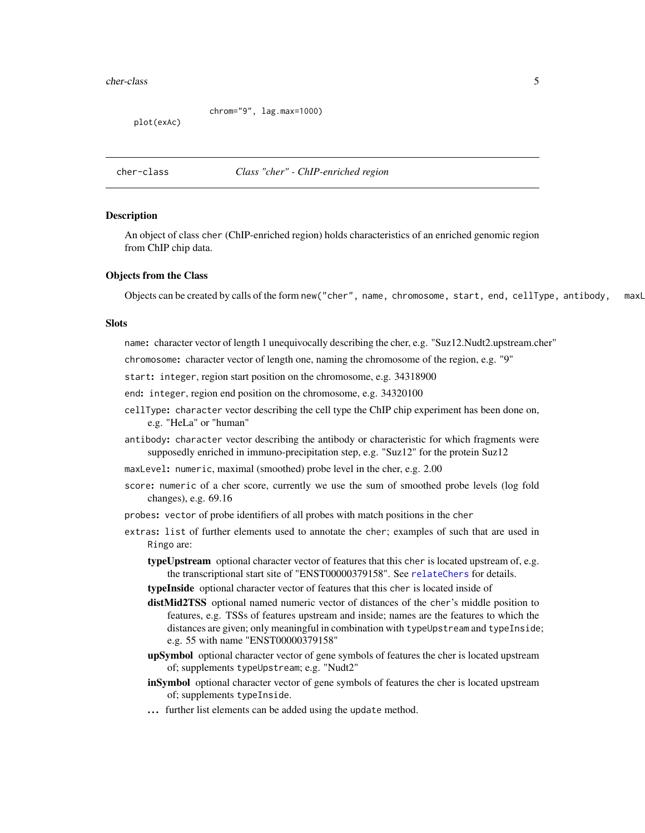#### <span id="page-4-0"></span>cher-class 5

chrom="9", lag.max=1000)

plot(exAc)

<span id="page-4-1"></span>cher-class *Class "cher" - ChIP-enriched region*

#### Description

An object of class cher (ChIP-enriched region) holds characteristics of an enriched genomic region from ChIP chip data.

#### Objects from the Class

Objects can be created by calls of the form new("cher", name, chromosome, start, end, cellType, antibody, maxL

## **Slots**

name: character vector of length 1 unequivocally describing the cher, e.g. "Suz12.Nudt2.upstream.cher"

chromosome: character vector of length one, naming the chromosome of the region, e.g. "9"

start: integer, region start position on the chromosome, e.g. 34318900

end: integer, region end position on the chromosome, e.g. 34320100

cellType: character vector describing the cell type the ChIP chip experiment has been done on, e.g. "HeLa" or "human"

antibody: character vector describing the antibody or characteristic for which fragments were supposedly enriched in immuno-precipitation step, e.g. "Suz12" for the protein Suz12

maxLevel: numeric, maximal (smoothed) probe level in the cher, e.g. 2.00

score: numeric of a cher score, currently we use the sum of smoothed probe levels (log fold changes), e.g. 69.16

probes: vector of probe identifiers of all probes with match positions in the cher

extras: list of further elements used to annotate the cher; examples of such that are used in Ringo are:

typeUpstream optional character vector of features that this cher is located upstream of, e.g. the transcriptional start site of "ENST00000379158". See [relateChers](#page-35-1) for details.

typeInside optional character vector of features that this cher is located inside of

distMid2TSS optional named numeric vector of distances of the cher's middle position to features, e.g. TSSs of features upstream and inside; names are the features to which the distances are given; only meaningful in combination with typeUpstream and typeInside; e.g. 55 with name "ENST00000379158"

upSymbol optional character vector of gene symbols of features the cher is located upstream of; supplements typeUpstream; e.g. "Nudt2"

inSymbol optional character vector of gene symbols of features the cher is located upstream of; supplements typeInside.

... further list elements can be added using the update method.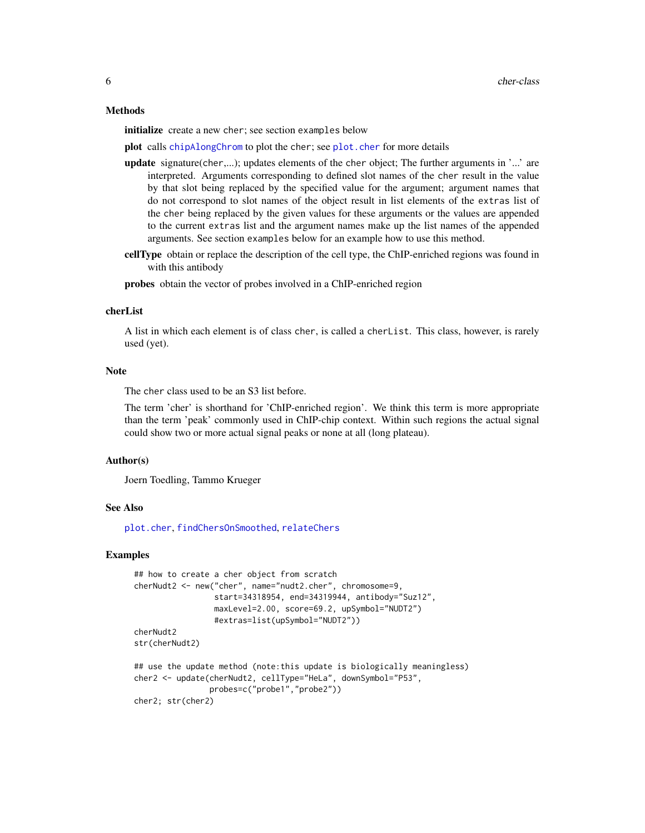#### Methods

initialize create a new cher; see section examples below

plot calls [chipAlongChrom](#page-7-1) to plot the cher; see plot. cher for more details

- update signature(cher,...); updates elements of the cher object; The further arguments in '...' are interpreted. Arguments corresponding to defined slot names of the cher result in the value by that slot being replaced by the specified value for the argument; argument names that do not correspond to slot names of the object result in list elements of the extras list of the cher being replaced by the given values for these arguments or the values are appended to the current extras list and the argument names make up the list names of the appended arguments. See section examples below for an example how to use this method.
- cellType obtain or replace the description of the cell type, the ChIP-enriched regions was found in with this antibody

probes obtain the vector of probes involved in a ChIP-enriched region

# cherList

A list in which each element is of class cher, is called a cherList. This class, however, is rarely used (yet).

#### Note

The cher class used to be an S3 list before.

The term 'cher' is shorthand for 'ChIP-enriched region'. We think this term is more appropriate than the term 'peak' commonly used in ChIP-chip context. Within such regions the actual signal could show two or more actual signal peaks or none at all (long plateau).

#### Author(s)

Joern Toedling, Tammo Krueger

#### See Also

[plot.cher](#page-24-1), [findChersOnSmoothed](#page-17-1), [relateChers](#page-35-1)

#### Examples

```
## how to create a cher object from scratch
cherNudt2 <- new("cher", name="nudt2.cher", chromosome=9,
                 start=34318954, end=34319944, antibody="Suz12",
                 maxLevel=2.00, score=69.2, upSymbol="NUDT2")
                 #extras=list(upSymbol="NUDT2"))
cherNudt2
str(cherNudt2)
## use the update method (note: this update is biologically meaningless)
cher2 <- update(cherNudt2, cellType="HeLa", downSymbol="P53",
                probes=c("probe1","probe2"))
cher2; str(cher2)
```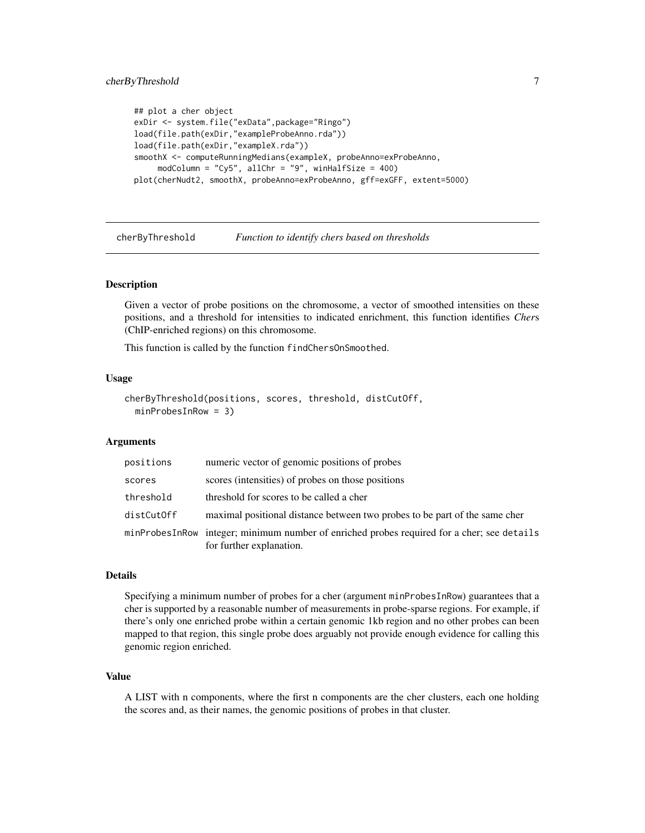```
## plot a cher object
exDir <- system.file("exData",package="Ringo")
load(file.path(exDir,"exampleProbeAnno.rda"))
load(file.path(exDir,"exampleX.rda"))
smoothX <- computeRunningMedians(exampleX, probeAnno=exProbeAnno,
     modColumn = "Cy5", allChr = "9", winHalfSize = 400)
plot(cherNudt2, smoothX, probeAnno=exProbeAnno, gff=exGFF, extent=5000)
```
<span id="page-6-1"></span>cherByThreshold *Function to identify chers based on thresholds*

# Description

Given a vector of probe positions on the chromosome, a vector of smoothed intensities on these positions, and a threshold for intensities to indicated enrichment, this function identifies *Cher*s (ChIP-enriched regions) on this chromosome.

This function is called by the function findChersOnSmoothed.

#### Usage

```
cherByThreshold(positions, scores, threshold, distCutOff,
 minProbesInRow = 3)
```
#### Arguments

| positions  | numeric vector of genomic positions of probes                                                                          |
|------------|------------------------------------------------------------------------------------------------------------------------|
| scores     | scores (intensities) of probes on those positions                                                                      |
| threshold  | threshold for scores to be called a cher                                                                               |
| distCutOff | maximal positional distance between two probes to be part of the same cher                                             |
|            | minProbesInRow integer; minimum number of enriched probes required for a cher; see details<br>for further explanation. |

# **Details**

Specifying a minimum number of probes for a cher (argument minProbesInRow) guarantees that a cher is supported by a reasonable number of measurements in probe-sparse regions. For example, if there's only one enriched probe within a certain genomic 1kb region and no other probes can been mapped to that region, this single probe does arguably not provide enough evidence for calling this genomic region enriched.

# Value

A LIST with n components, where the first n components are the cher clusters, each one holding the scores and, as their names, the genomic positions of probes in that cluster.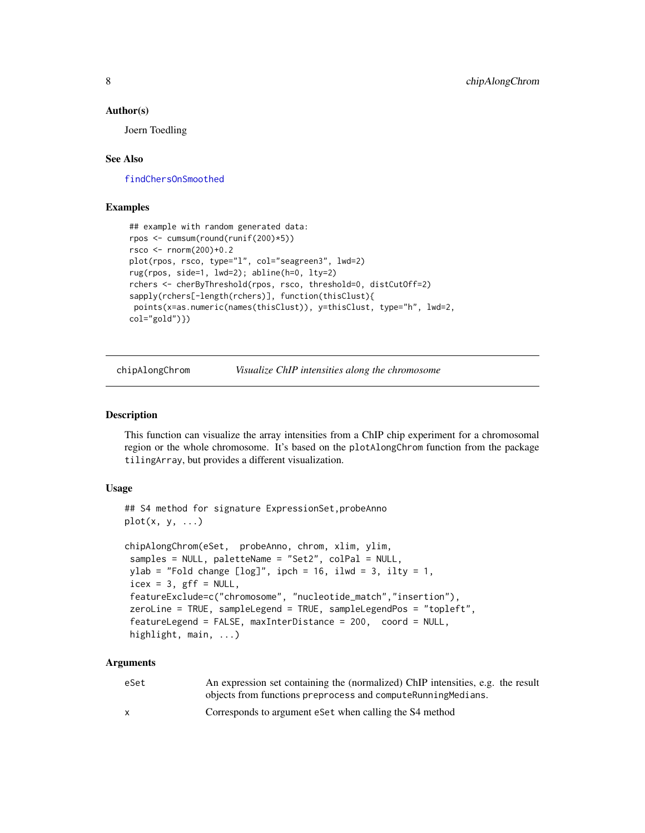#### <span id="page-7-0"></span>Author(s)

Joern Toedling

# See Also

[findChersOnSmoothed](#page-17-1)

# Examples

```
## example with random generated data:
rpos <- cumsum(round(runif(200)*5))
rsco <- rnorm(200)+0.2
plot(rpos, rsco, type="l", col="seagreen3", lwd=2)
rug(rpos, side=1, lwd=2); abline(h=0, lty=2)
rchers <- cherByThreshold(rpos, rsco, threshold=0, distCutOff=2)
sapply(rchers[-length(rchers)], function(thisClust){
points(x=as.numeric(names(thisClust)), y=thisClust, type="h", lwd=2,
col="gold")})
```
<span id="page-7-1"></span>chipAlongChrom *Visualize ChIP intensities along the chromosome*

#### Description

This function can visualize the array intensities from a ChIP chip experiment for a chromosomal region or the whole chromosome. It's based on the plotAlongChrom function from the package tilingArray, but provides a different visualization.

#### Usage

```
## S4 method for signature ExpressionSet, probeAnno
plot(x, y, ...)
```

```
chipAlongChrom(eSet, probeAnno, chrom, xlim, ylim,
samples = NULL, paletteName = "Set2", colPal = NULL,
ylab = "Fold change [log]", ipch = 16, ilwd = 3, ilty = 1,
icex = 3, gff = NULL,
featureExclude=c("chromosome", "nucleotide_match","insertion"),
zeroLine = TRUE, sampleLegend = TRUE, sampleLegendPos = "topleft",
featureLegend = FALSE, maxInterDistance = 200, coord = NULL,
highlight, main, ...)
```
#### Arguments

| eSet | An expression set containing the (normalized) ChIP intensities, e.g. the result |
|------|---------------------------------------------------------------------------------|
|      | objects from functions preprocess and compute Running Medians.                  |
|      | Corresponds to argument eset when calling the S4 method                         |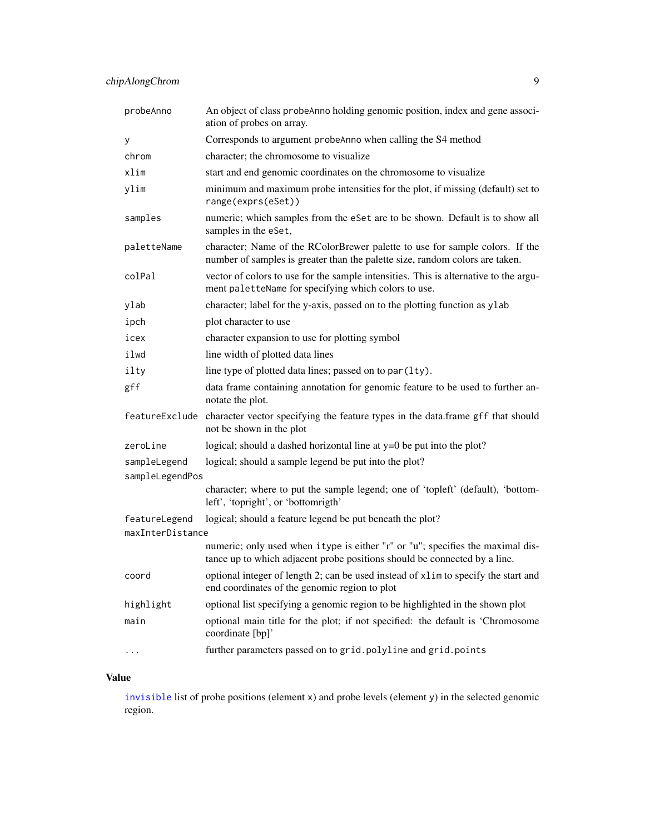| probeAnno                         | An object of class probeAnno holding genomic position, index and gene associ-<br>ation of probes on array.                                                   |
|-----------------------------------|--------------------------------------------------------------------------------------------------------------------------------------------------------------|
| У                                 | Corresponds to argument probeAnno when calling the S4 method                                                                                                 |
| chrom                             | character; the chromosome to visualize                                                                                                                       |
| xlim                              | start and end genomic coordinates on the chromosome to visualize                                                                                             |
| ylim                              | minimum and maximum probe intensities for the plot, if missing (default) set to<br>range(exprs(eSet))                                                        |
| samples                           | numeric; which samples from the eSet are to be shown. Default is to show all<br>samples in the eSet,                                                         |
| paletteName                       | character; Name of the RColorBrewer palette to use for sample colors. If the<br>number of samples is greater than the palette size, random colors are taken. |
| colPal                            | vector of colors to use for the sample intensities. This is alternative to the argu-<br>ment paletteName for specifying which colors to use.                 |
| ylab                              | character; label for the y-axis, passed on to the plotting function as ylab                                                                                  |
| ipch                              | plot character to use                                                                                                                                        |
| icex                              | character expansion to use for plotting symbol                                                                                                               |
| ilwd                              | line width of plotted data lines                                                                                                                             |
| ilty                              | line type of plotted data lines; passed on to par (1ty).                                                                                                     |
| gff                               | data frame containing annotation for genomic feature to be used to further an-<br>notate the plot.                                                           |
|                                   | featureExclude character vector specifying the feature types in the data.frame gff that should<br>not be shown in the plot                                   |
| zeroLine                          | logical; should a dashed horizontal line at $y=0$ be put into the plot?                                                                                      |
| sampleLegend                      | logical; should a sample legend be put into the plot?                                                                                                        |
| sampleLegendPos                   |                                                                                                                                                              |
|                                   | character; where to put the sample legend; one of 'topleft' (default), 'bottom-<br>left', 'topright', or 'bottomrigth'                                       |
| featureLegend<br>maxInterDistance | logical; should a feature legend be put beneath the plot?                                                                                                    |
|                                   | numeric; only used when itype is either "r" or "u"; specifies the maximal dis-<br>tance up to which adjacent probe positions should be connected by a line.  |
| coord                             | optional integer of length 2; can be used instead of x1im to specify the start and<br>end coordinates of the genomic region to plot                          |
| highlight                         | optional list specifying a genomic region to be highlighted in the shown plot                                                                                |
| main                              | optional main title for the plot; if not specified: the default is 'Chromosome<br>coordinate [bp]'                                                           |
| $\cdots$                          | further parameters passed on to grid.polyline and grid.points                                                                                                |

# Value

[invisible](#page-0-0) list of probe positions (element x) and probe levels (element y) in the selected genomic region.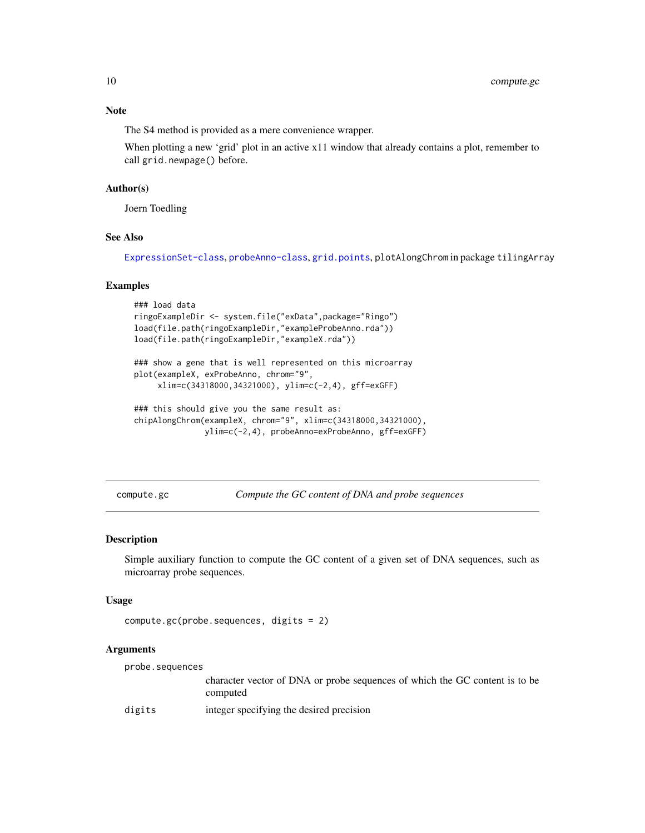The S4 method is provided as a mere convenience wrapper.

When plotting a new 'grid' plot in an active x11 window that already contains a plot, remember to call grid.newpage() before.

#### Author(s)

Joern Toedling

# See Also

[ExpressionSet-class](#page-0-0), [probeAnno-class](#page-30-1), [grid.points](#page-0-0), plotAlongChrom in package tilingArray

#### Examples

```
### load data
ringoExampleDir <- system.file("exData",package="Ringo")
load(file.path(ringoExampleDir,"exampleProbeAnno.rda"))
load(file.path(ringoExampleDir,"exampleX.rda"))
```
### show a gene that is well represented on this microarray plot(exampleX, exProbeAnno, chrom="9", xlim=c(34318000,34321000), ylim=c(-2,4), gff=exGFF)

```
### this should give you the same result as:
chipAlongChrom(exampleX, chrom="9", xlim=c(34318000,34321000),
               ylim=c(-2,4), probeAnno=exProbeAnno, gff=exGFF)
```
compute.gc *Compute the GC content of DNA and probe sequences*

# Description

Simple auxiliary function to compute the GC content of a given set of DNA sequences, such as microarray probe sequences.

#### Usage

```
compute.gc(probe.sequences, digits = 2)
```
# Arguments

probe.sequences

character vector of DNA or probe sequences of which the GC content is to be computed

digits integer specifying the desired precision

<span id="page-9-0"></span>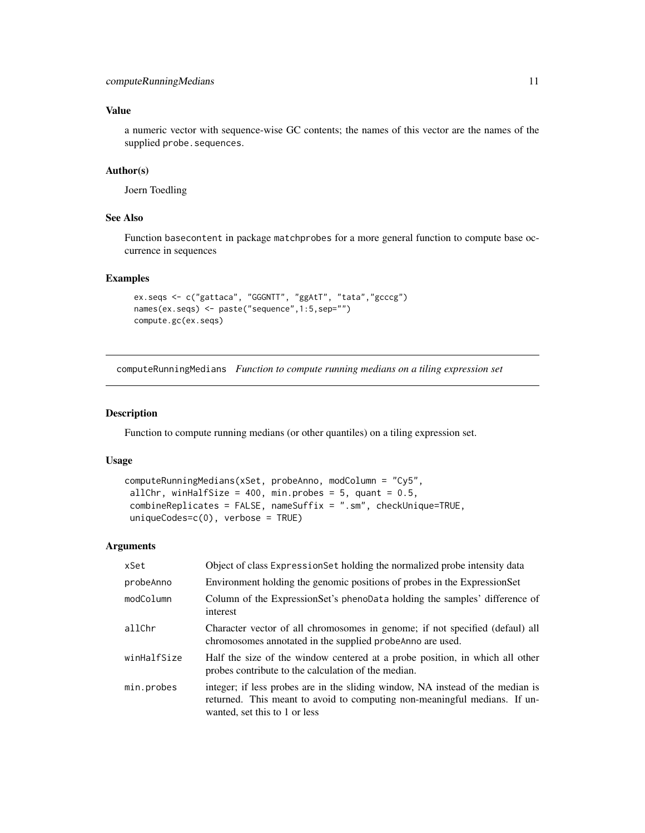# <span id="page-10-0"></span>Value

a numeric vector with sequence-wise GC contents; the names of this vector are the names of the supplied probe.sequences.

#### Author(s)

Joern Toedling

## See Also

Function basecontent in package matchprobes for a more general function to compute base occurrence in sequences

# Examples

```
ex.seqs <- c("gattaca", "GGGNTT", "ggAtT", "tata","gcccg")
names(ex.seqs) <- paste("sequence",1:5,sep="")
compute.gc(ex.seqs)
```
<span id="page-10-1"></span>computeRunningMedians *Function to compute running medians on a tiling expression set*

#### Description

Function to compute running medians (or other quantiles) on a tiling expression set.

#### Usage

```
computeRunningMedians(xSet, probeAnno, modColumn = "Cy5",
allChr, winHalfSize = 400, min.probes = 5, quant = 0.5,
combineReplicates = FALSE, nameSuffix = ".sm", checkUnique=TRUE,
uniqueCodes=c(0), verbose = TRUE)
```
# Arguments

| xSet        | Object of class Expression Set holding the normalized probe intensity data                                                                                                                   |
|-------------|----------------------------------------------------------------------------------------------------------------------------------------------------------------------------------------------|
| probeAnno   | Environment holding the genomic positions of probes in the ExpressionSet                                                                                                                     |
| modColumn   | Column of the ExpressionSet's phenoData holding the samples' difference of<br>interest                                                                                                       |
| allChr      | Character vector of all chromosomes in genome; if not specified (defaul) all<br>chromosomes annotated in the supplied probeAnno are used.                                                    |
| winHalfSize | Half the size of the window centered at a probe position, in which all other<br>probes contribute to the calculation of the median.                                                          |
| min.probes  | integer; if less probes are in the sliding window, NA instead of the median is<br>returned. This meant to avoid to computing non-meaningful medians. If un-<br>wanted, set this to 1 or less |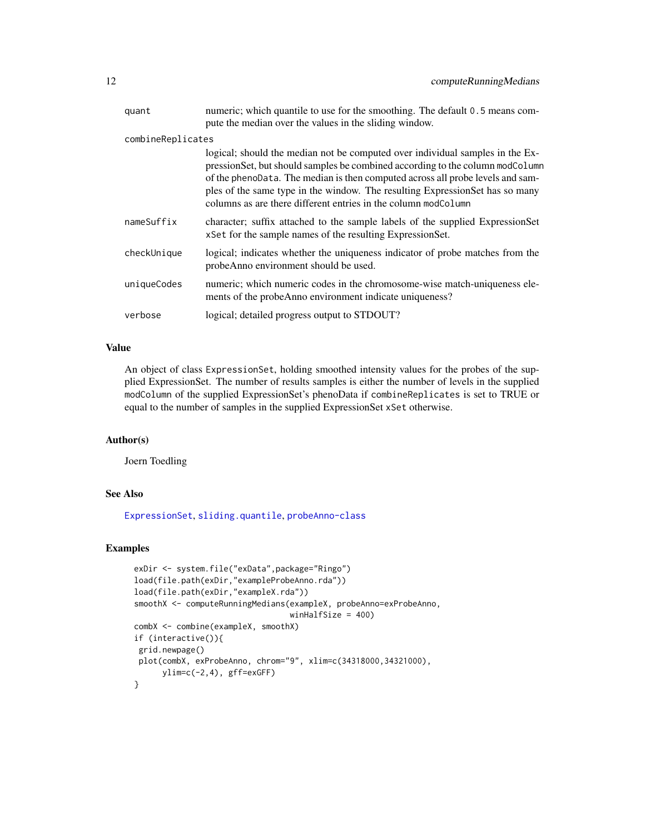| quant             | numeric; which quantile to use for the smoothing. The default 0.5 means com-                                                                                                                                                                                                                                                                                                                       |
|-------------------|----------------------------------------------------------------------------------------------------------------------------------------------------------------------------------------------------------------------------------------------------------------------------------------------------------------------------------------------------------------------------------------------------|
|                   | pute the median over the values in the sliding window.                                                                                                                                                                                                                                                                                                                                             |
| combineReplicates |                                                                                                                                                                                                                                                                                                                                                                                                    |
|                   | logical; should the median not be computed over individual samples in the Ex-<br>pressionSet, but should samples be combined according to the column modColumn<br>of the phenoData. The median is then computed across all probe levels and sam-<br>ples of the same type in the window. The resulting ExpressionSet has so many<br>columns as are there different entries in the column modColumn |
| nameSuffix        | character; suffix attached to the sample labels of the supplied ExpressionSet<br>xSet for the sample names of the resulting Expression Set.                                                                                                                                                                                                                                                        |
| checkUnique       | logical; indicates whether the uniqueness indicator of probe matches from the<br>probeAnno environment should be used.                                                                                                                                                                                                                                                                             |
| uniqueCodes       | numeric; which numeric codes in the chromosome-wise match-uniqueness ele-<br>ments of the probeAnno environment indicate uniqueness?                                                                                                                                                                                                                                                               |
| verbose           | logical; detailed progress output to STDOUT?                                                                                                                                                                                                                                                                                                                                                       |

# Value

An object of class ExpressionSet, holding smoothed intensity values for the probes of the supplied ExpressionSet. The number of results samples is either the number of levels in the supplied modColumn of the supplied ExpressionSet's phenoData if combineReplicates is set to TRUE or equal to the number of samples in the supplied ExpressionSet xSet otherwise.

# Author(s)

Joern Toedling

# See Also

[ExpressionSet](#page-0-0), [sliding.quantile](#page-37-1), [probeAnno-class](#page-30-1)

#### Examples

```
exDir <- system.file("exData",package="Ringo")
load(file.path(exDir,"exampleProbeAnno.rda"))
load(file.path(exDir,"exampleX.rda"))
smoothX <- computeRunningMedians(exampleX, probeAnno=exProbeAnno,
                                 winHalfSize = 400)
combX <- combine(exampleX, smoothX)
if (interactive()){
grid.newpage()
plot(combX, exProbeAnno, chrom="9", xlim=c(34318000,34321000),
      ylim=c(-2,4), gff=exGFF)
}
```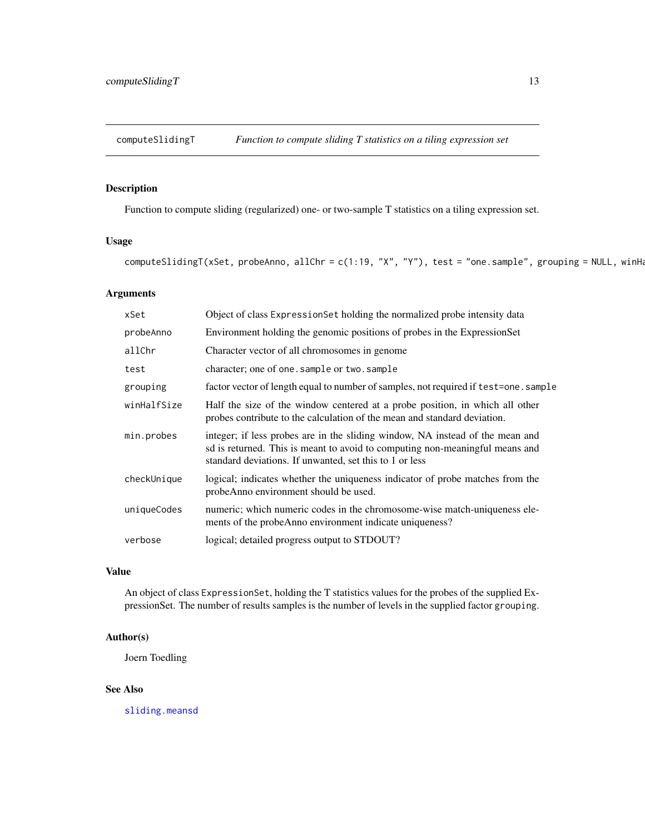<span id="page-12-0"></span>

Function to compute sliding (regularized) one- or two-sample T statistics on a tiling expression set.

# Usage

computeSlidingT(xSet, probeAnno, allChr = c(1:19, "X", "Y"), test = "one.sample", grouping = NULL, winHa

#### Arguments

| xSet        | Object of class ExpressionSet holding the normalized probe intensity data                                                                                                                                                |
|-------------|--------------------------------------------------------------------------------------------------------------------------------------------------------------------------------------------------------------------------|
| probeAnno   | Environment holding the genomic positions of probes in the ExpressionSet                                                                                                                                                 |
| allChr      | Character vector of all chromosomes in genome                                                                                                                                                                            |
| test        | character; one of one.sample or two.sample                                                                                                                                                                               |
| grouping    | factor vector of length equal to number of samples, not required if test=one.sample                                                                                                                                      |
| winHalfSize | Half the size of the window centered at a probe position, in which all other<br>probes contribute to the calculation of the mean and standard deviation.                                                                 |
| min.probes  | integer; if less probes are in the sliding window, NA instead of the mean and<br>sd is returned. This is meant to avoid to computing non-meaningful means and<br>standard deviations. If unwanted, set this to 1 or less |
| checkUnique | logical; indicates whether the uniqueness indicator of probe matches from the<br>probeAnno environment should be used.                                                                                                   |
| uniqueCodes | numeric; which numeric codes in the chromosome-wise match-uniqueness ele-<br>ments of the probeAnno environment indicate uniqueness?                                                                                     |
| verbose     | logical; detailed progress output to STDOUT?                                                                                                                                                                             |

# Value

An object of class ExpressionSet, holding the T statistics values for the probes of the supplied ExpressionSet. The number of results samples is the number of levels in the supplied factor grouping.

# Author(s)

Joern Toedling

# See Also

[sliding.meansd](#page-36-1)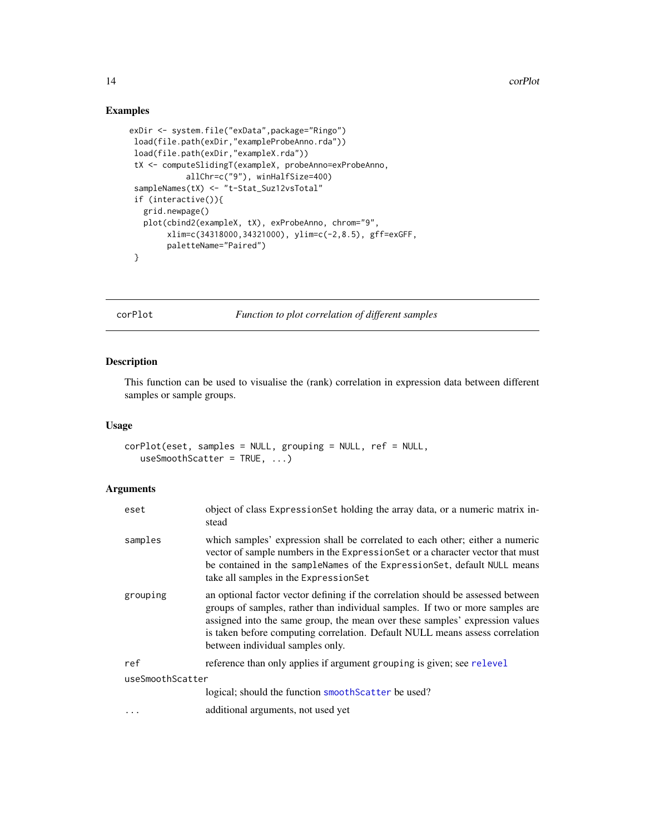# Examples

```
exDir <- system.file("exData",package="Ringo")
 load(file.path(exDir,"exampleProbeAnno.rda"))
 load(file.path(exDir,"exampleX.rda"))
 tX <- computeSlidingT(exampleX, probeAnno=exProbeAnno,
            allChr=c("9"), winHalfSize=400)
 sampleNames(tX) <- "t-Stat_Suz12vsTotal"
 if (interactive()){
  grid.newpage()
  plot(cbind2(exampleX, tX), exProbeAnno, chrom="9",
        xlim=c(34318000,34321000), ylim=c(-2,8.5), gff=exGFF,
        paletteName="Paired")
 }
```
corPlot *Function to plot correlation of different samples*

# Description

This function can be used to visualise the (rank) correlation in expression data between different samples or sample groups.

#### Usage

```
corPlot(eset, samples = NULL, grouping = NULL, ref = NULL,
   useSmoothScatter = TRUE, ...)
```
#### Arguments

| eset             | object of class ExpressionSet holding the array data, or a numeric matrix in-<br>stead                                                                                                                                                                                                                                                                                |  |
|------------------|-----------------------------------------------------------------------------------------------------------------------------------------------------------------------------------------------------------------------------------------------------------------------------------------------------------------------------------------------------------------------|--|
| samples          | which samples' expression shall be correlated to each other; either a numeric<br>vector of sample numbers in the ExpressionSet or a character vector that must<br>be contained in the sampleNames of the ExpressionSet, default NULL means<br>take all samples in the Expression Set                                                                                  |  |
| grouping         | an optional factor vector defining if the correlation should be assessed between<br>groups of samples, rather than individual samples. If two or more samples are<br>assigned into the same group, the mean over these samples' expression values<br>is taken before computing correlation. Default NULL means assess correlation<br>between individual samples only. |  |
| ref              | reference than only applies if argument grouping is given; see relevel                                                                                                                                                                                                                                                                                                |  |
| useSmoothScatter |                                                                                                                                                                                                                                                                                                                                                                       |  |
|                  | logical; should the function smoothScatter be used?                                                                                                                                                                                                                                                                                                                   |  |
| .                | additional arguments, not used yet                                                                                                                                                                                                                                                                                                                                    |  |

<span id="page-13-0"></span>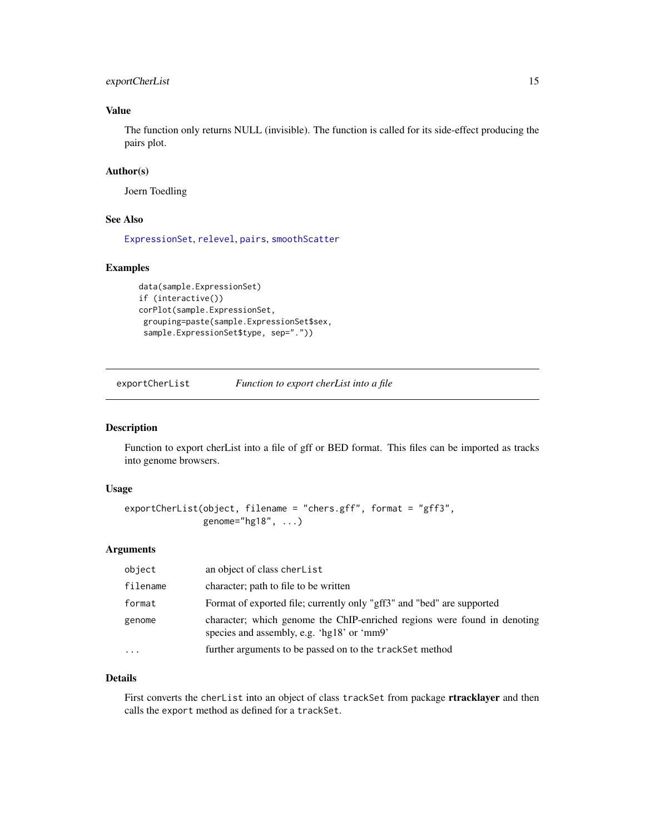# <span id="page-14-0"></span>exportCherList 15

# Value

The function only returns NULL (invisible). The function is called for its side-effect producing the pairs plot.

# Author(s)

Joern Toedling

# See Also

[ExpressionSet](#page-0-0), [relevel](#page-0-0), [pairs](#page-0-0), [smoothScatter](#page-0-0)

# Examples

```
data(sample.ExpressionSet)
if (interactive())
corPlot(sample.ExpressionSet,
grouping=paste(sample.ExpressionSet$sex,
 sample.ExpressionSet$type, sep="."))
```
exportCherList *Function to export cherList into a file*

# Description

Function to export cherList into a file of gff or BED format. This files can be imported as tracks into genome browsers.

# Usage

```
exportCherList(object, filename = "chers.gff", format = "gff3",
              genome="hg18", ...)
```
# Arguments

| object    | an object of class cherList                                                                                            |
|-----------|------------------------------------------------------------------------------------------------------------------------|
| filename  | character; path to file to be written                                                                                  |
| format    | Format of exported file; currently only "gff3" and "bed" are supported                                                 |
| genome    | character; which genome the ChIP-enriched regions were found in denoting<br>species and assembly, e.g. 'hg18' or 'mm9' |
| $\ddotsc$ | further arguments to be passed on to the track Set method                                                              |

# Details

First converts the cherList into an object of class trackSet from package rtracklayer and then calls the export method as defined for a trackSet.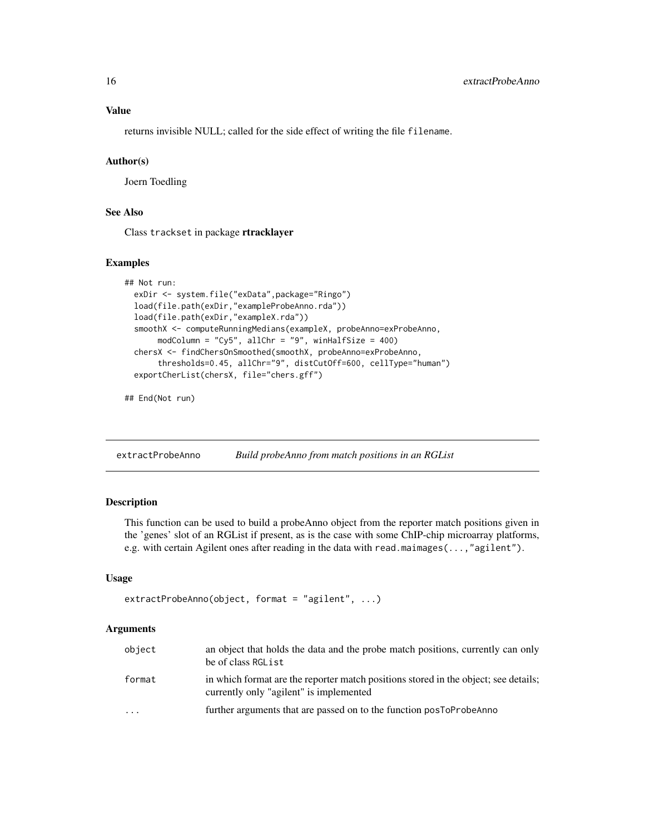<span id="page-15-0"></span>returns invisible NULL; called for the side effect of writing the file filename.

# Author(s)

Joern Toedling

# See Also

Class trackset in package rtracklayer

#### Examples

```
## Not run:
 exDir <- system.file("exData",package="Ringo")
 load(file.path(exDir,"exampleProbeAnno.rda"))
 load(file.path(exDir,"exampleX.rda"))
 smoothX <- computeRunningMedians(exampleX, probeAnno=exProbeAnno,
      modColumn = "Cy5", allChr = "9", winHalfSize = 400)
 chersX <- findChersOnSmoothed(smoothX, probeAnno=exProbeAnno,
      thresholds=0.45, allChr="9", distCutOff=600, cellType="human")
 exportCherList(chersX, file="chers.gff")
```
## End(Not run)

extractProbeAnno *Build probeAnno from match positions in an RGList*

# Description

This function can be used to build a probeAnno object from the reporter match positions given in the 'genes' slot of an RGList if present, as is the case with some ChIP-chip microarray platforms, e.g. with certain Agilent ones after reading in the data with read.maimages(...,"agilent").

# Usage

```
extractProbeAnno(object, format = "agilent", ...)
```
#### Arguments

| object | an object that holds the data and the probe match positions, currently can only<br>be of class RGL ist                         |
|--------|--------------------------------------------------------------------------------------------------------------------------------|
| format | in which format are the reporter match positions stored in the object; see details;<br>currently only "agilent" is implemented |
| .      | further arguments that are passed on to the function postoProbeAnno                                                            |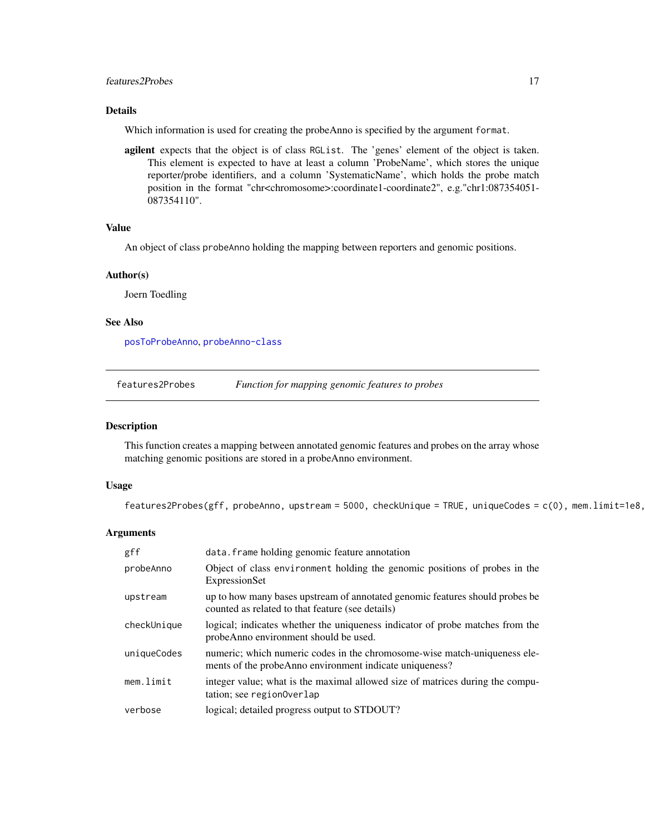# <span id="page-16-0"></span>features2Probes 17

# Details

Which information is used for creating the probeAnno is specified by the argument format.

agilent expects that the object is of class RGList. The 'genes' element of the object is taken. This element is expected to have at least a column 'ProbeName', which stores the unique reporter/probe identifiers, and a column 'SystematicName', which holds the probe match position in the format "chr<chromosome>:coordinate1-coordinate2", e.g."chr1:087354051-087354110".

#### Value

An object of class probeAnno holding the mapping between reporters and genomic positions.

#### Author(s)

Joern Toedling

#### See Also

[posToProbeAnno](#page-26-1), [probeAnno-class](#page-30-1)

<span id="page-16-1"></span>

| features2Probes |  | Function for mapping genomic features to probes |
|-----------------|--|-------------------------------------------------|
|                 |  |                                                 |

#### Description

This function creates a mapping between annotated genomic features and probes on the array whose matching genomic positions are stored in a probeAnno environment.

#### Usage

features2Probes(gff, probeAnno, upstream = 5000, checkUnique = TRUE, uniqueCodes =  $c(0)$ , mem.limit=1e8,

#### Arguments

| gff         | data. frame holding genomic feature annotation                                                                                       |
|-------------|--------------------------------------------------------------------------------------------------------------------------------------|
| probeAnno   | Object of class environment holding the genomic positions of probes in the<br>ExpressionSet                                          |
| upstream    | up to how many bases upstream of annotated genomic features should probes be<br>counted as related to that feature (see details)     |
| checkUnique | logical; indicates whether the uniqueness indicator of probe matches from the<br>probeAnno environment should be used.               |
| uniqueCodes | numeric; which numeric codes in the chromosome-wise match-uniqueness ele-<br>ments of the probeAnno environment indicate uniqueness? |
| mem.limit   | integer value; what is the maximal allowed size of matrices during the compu-<br>tation; see region0verlap                           |
| verbose     | logical; detailed progress output to STDOUT?                                                                                         |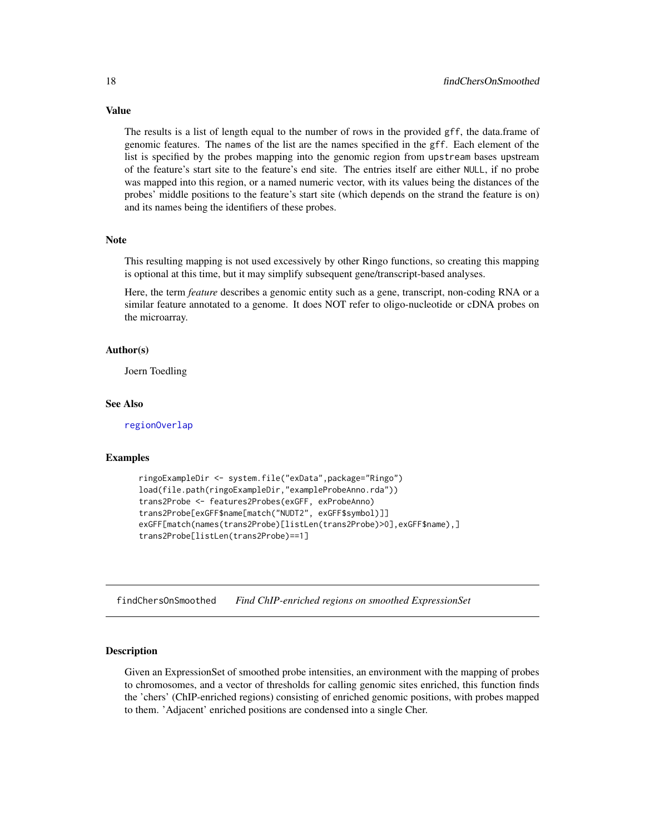The results is a list of length equal to the number of rows in the provided gff, the data.frame of genomic features. The names of the list are the names specified in the gff. Each element of the list is specified by the probes mapping into the genomic region from upstream bases upstream of the feature's start site to the feature's end site. The entries itself are either NULL, if no probe was mapped into this region, or a named numeric vector, with its values being the distances of the probes' middle positions to the feature's start site (which depends on the strand the feature is on) and its names being the identifiers of these probes.

#### **Note**

This resulting mapping is not used excessively by other Ringo functions, so creating this mapping is optional at this time, but it may simplify subsequent gene/transcript-based analyses.

Here, the term *feature* describes a genomic entity such as a gene, transcript, non-coding RNA or a similar feature annotated to a genome. It does NOT refer to oligo-nucleotide or cDNA probes on the microarray.

#### Author(s)

Joern Toedling

#### See Also

[regionOverlap](#page-33-1)

#### Examples

```
ringoExampleDir <- system.file("exData",package="Ringo")
load(file.path(ringoExampleDir,"exampleProbeAnno.rda"))
trans2Probe <- features2Probes(exGFF, exProbeAnno)
trans2Probe[exGFF$name[match("NUDT2", exGFF$symbol)]]
exGFF[match(names(trans2Probe)[listLen(trans2Probe)>0],exGFF$name),]
trans2Probe[listLen(trans2Probe)==1]
```
<span id="page-17-1"></span>findChersOnSmoothed *Find ChIP-enriched regions on smoothed ExpressionSet*

# **Description**

Given an ExpressionSet of smoothed probe intensities, an environment with the mapping of probes to chromosomes, and a vector of thresholds for calling genomic sites enriched, this function finds the 'chers' (ChIP-enriched regions) consisting of enriched genomic positions, with probes mapped to them. 'Adjacent' enriched positions are condensed into a single Cher.

<span id="page-17-0"></span>

# Value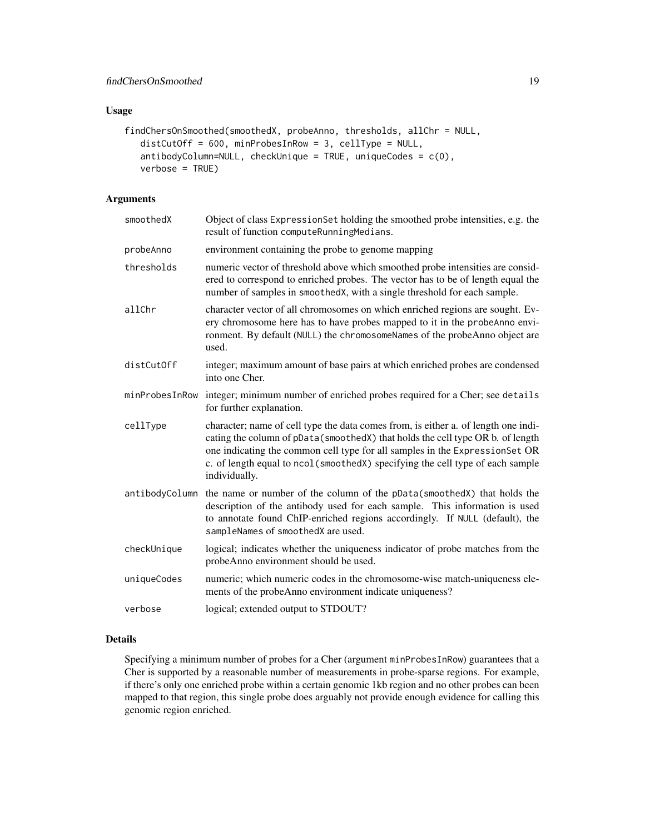# Usage

```
findChersOnSmoothed(smoothedX, probeAnno, thresholds, allChr = NULL,
  distCutOff = 600, minProbesInRow = 3, cellType = NULL,
  antibodyColumn=NULL, checkUnique = TRUE, uniqueCodes = c(0),
  verbose = TRUE)
```
# Arguments

| smoothedX      | Object of class Expression Set holding the smoothed probe intensities, e.g. the<br>result of function computeRunningMedians.                                                                                                                                                                                                                           |
|----------------|--------------------------------------------------------------------------------------------------------------------------------------------------------------------------------------------------------------------------------------------------------------------------------------------------------------------------------------------------------|
| probeAnno      | environment containing the probe to genome mapping                                                                                                                                                                                                                                                                                                     |
| thresholds     | numeric vector of threshold above which smoothed probe intensities are consid-<br>ered to correspond to enriched probes. The vector has to be of length equal the<br>number of samples in smoothedX, with a single threshold for each sample.                                                                                                          |
| allChr         | character vector of all chromosomes on which enriched regions are sought. Ev-<br>ery chromosome here has to have probes mapped to it in the probeAnno envi-<br>ronment. By default (NULL) the chromosomeNames of the probeAnno object are<br>used.                                                                                                     |
| distCutOff     | integer; maximum amount of base pairs at which enriched probes are condensed<br>into one Cher.                                                                                                                                                                                                                                                         |
| minProbesInRow | integer; minimum number of enriched probes required for a Cher; see details<br>for further explanation.                                                                                                                                                                                                                                                |
| cellType       | character; name of cell type the data comes from, is either a. of length one indi-<br>cating the column of pData(smoothedX) that holds the cell type OR b. of length<br>one indicating the common cell type for all samples in the ExpressionSet OR<br>c. of length equal to ncol (smoothedX) specifying the cell type of each sample<br>individually. |
| antibodyColumn | the name or number of the column of the pData(smoothedX) that holds the<br>description of the antibody used for each sample. This information is used<br>to annotate found ChIP-enriched regions accordingly. If NULL (default), the<br>sampleNames of smoothedX are used.                                                                             |
| checkUnique    | logical; indicates whether the uniqueness indicator of probe matches from the<br>probeAnno environment should be used.                                                                                                                                                                                                                                 |
| uniqueCodes    | numeric; which numeric codes in the chromosome-wise match-uniqueness ele-<br>ments of the probeAnno environment indicate uniqueness?                                                                                                                                                                                                                   |
| verbose        | logical; extended output to STDOUT?                                                                                                                                                                                                                                                                                                                    |

# Details

Specifying a minimum number of probes for a Cher (argument minProbesInRow) guarantees that a Cher is supported by a reasonable number of measurements in probe-sparse regions. For example, if there's only one enriched probe within a certain genomic 1kb region and no other probes can been mapped to that region, this single probe does arguably not provide enough evidence for calling this genomic region enriched.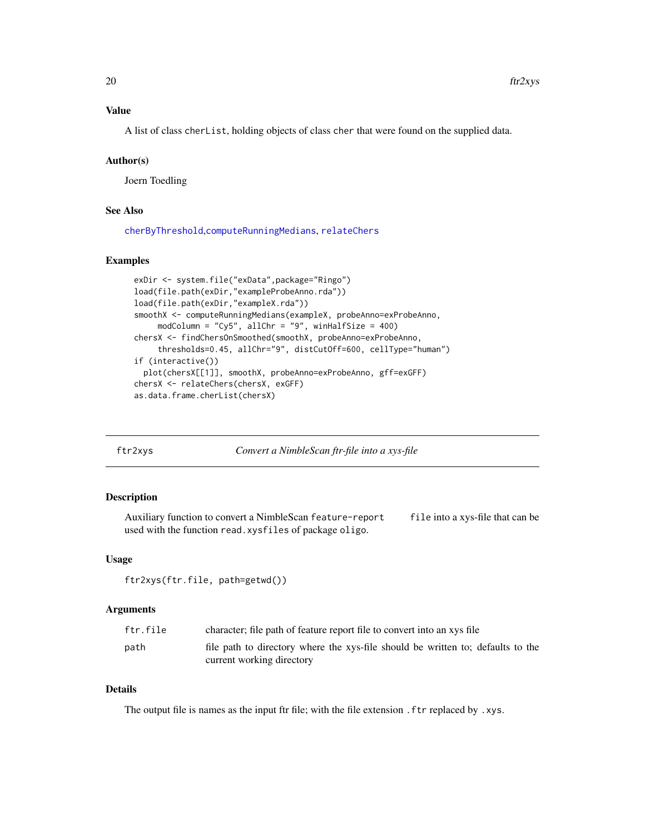# <span id="page-19-0"></span>Value

A list of class cherList, holding objects of class cher that were found on the supplied data.

#### Author(s)

Joern Toedling

# See Also

[cherByThreshold](#page-6-1),[computeRunningMedians](#page-10-1), [relateChers](#page-35-1)

#### Examples

```
exDir <- system.file("exData",package="Ringo")
load(file.path(exDir,"exampleProbeAnno.rda"))
load(file.path(exDir,"exampleX.rda"))
smoothX <- computeRunningMedians(exampleX, probeAnno=exProbeAnno,
     modColumn = "Cy5", allChr = "9", winHalfSize = 400)
chersX <- findChersOnSmoothed(smoothX, probeAnno=exProbeAnno,
     thresholds=0.45, allChr="9", distCutOff=600, cellType="human")
if (interactive())
  plot(chersX[[1]], smoothX, probeAnno=exProbeAnno, gff=exGFF)
chersX <- relateChers(chersX, exGFF)
as.data.frame.cherList(chersX)
```
ftr2xys *Convert a NimbleScan ftr-file into a xys-file*

# Description

Auxiliary function to convert a NimbleScan feature-report file into a xys-file that can be used with the function read.xysfiles of package oligo.

# Usage

ftr2xys(ftr.file, path=getwd())

# Arguments

| ftr.file | character; file path of feature report file to convert into an xys file         |
|----------|---------------------------------------------------------------------------------|
| path     | file path to directory where the xys-file should be written to; defaults to the |
|          | current working directory                                                       |

# Details

The output file is names as the input ftr file; with the file extension .ftr replaced by .xys.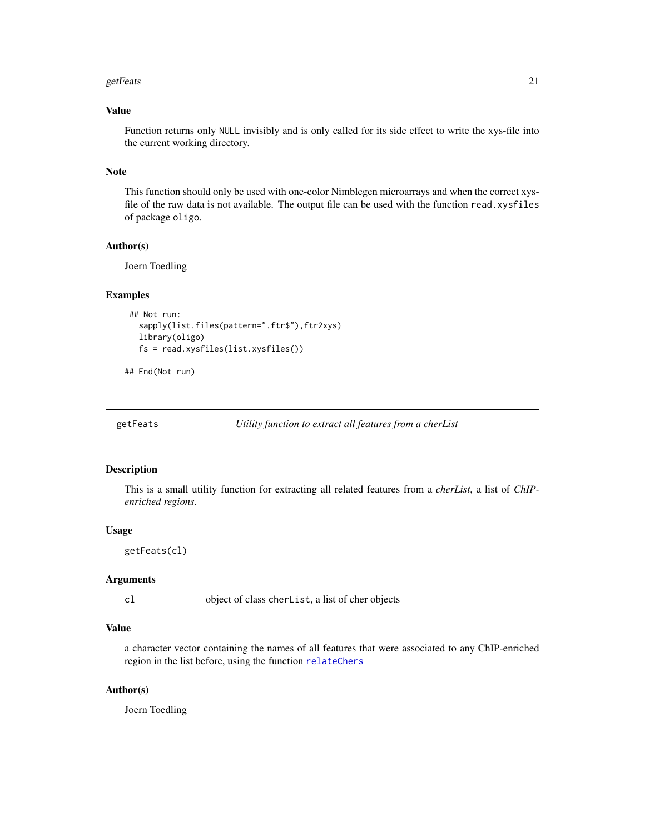#### <span id="page-20-0"></span>getFeats 21

# Value

Function returns only NULL invisibly and is only called for its side effect to write the xys-file into the current working directory.

#### Note

This function should only be used with one-color Nimblegen microarrays and when the correct xysfile of the raw data is not available. The output file can be used with the function read.xysfiles of package oligo.

# Author(s)

Joern Toedling

# Examples

```
## Not run:
  sapply(list.files(pattern=".ftr$"),ftr2xys)
  library(oligo)
  fs = read.xysfiles(list.xysfiles())
```
## End(Not run)

```
getFeats Utility function to extract all features from a cherList
```
#### Description

This is a small utility function for extracting all related features from a *cherList*, a list of *ChIPenriched regions*.

#### Usage

getFeats(cl)

#### Arguments

cl object of class cherList, a list of cher objects

# Value

a character vector containing the names of all features that were associated to any ChIP-enriched region in the list before, using the function [relateChers](#page-35-1)

# Author(s)

Joern Toedling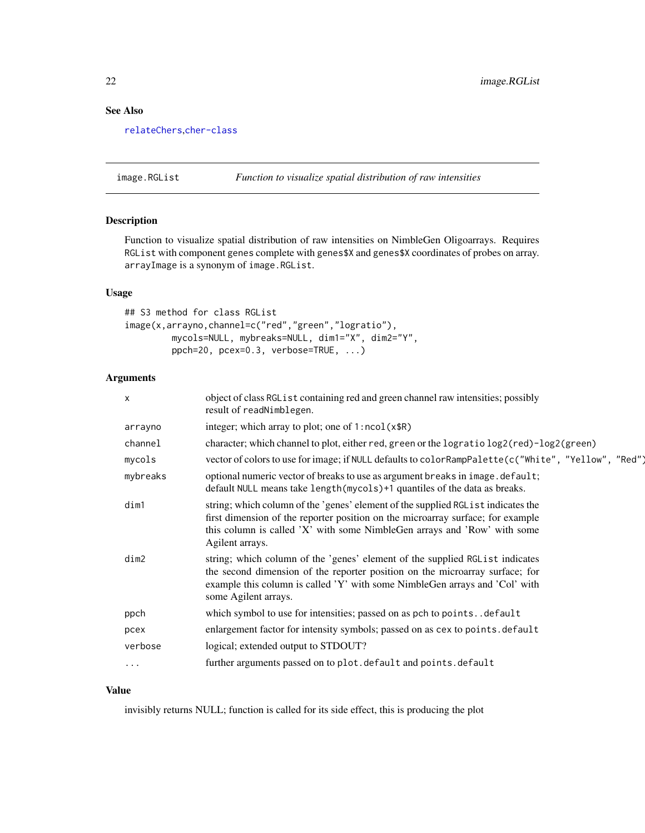# <span id="page-21-0"></span>See Also

[relateChers](#page-35-1),[cher-class](#page-4-1)

image.RGList *Function to visualize spatial distribution of raw intensities*

# Description

Function to visualize spatial distribution of raw intensities on NimbleGen Oligoarrays. Requires RGList with component genes complete with genes\$X and genes\$X coordinates of probes on array. arrayImage is a synonym of image.RGList.

#### Usage

```
## S3 method for class RGList
image(x,arrayno,channel=c("red","green","logratio"),
        mycols=NULL, mybreaks=NULL, dim1="X", dim2="Y",
        ppch=20, pcex=0.3, verbose=TRUE, ...)
```
# Arguments

| $\times$ | object of class RGL is t containing red and green channel raw intensities; possibly<br>result of readNimblegen.                                                                                                                                                      |
|----------|----------------------------------------------------------------------------------------------------------------------------------------------------------------------------------------------------------------------------------------------------------------------|
| arrayno  | integer; which array to plot; one of $1:ncol(x$R)$                                                                                                                                                                                                                   |
| channel  | character; which channel to plot, either red, green or the logratio log2(red)-log2(green)                                                                                                                                                                            |
| mycols   | vector of colors to use for image; if NULL defaults to colorRampPalette(c("White", "Yellow", "Red")                                                                                                                                                                  |
| mybreaks | optional numeric vector of breaks to use as argument breaks in image.default;<br>default NULL means take length (mycols) +1 quantiles of the data as breaks.                                                                                                         |
| dim1     | string; which column of the 'genes' element of the supplied RGL ist indicates the<br>first dimension of the reporter position on the microarray surface; for example<br>this column is called 'X' with some NimbleGen arrays and 'Row' with some<br>Agilent arrays.  |
| dim2     | string; which column of the 'genes' element of the supplied RGL ist indicates<br>the second dimension of the reporter position on the microarray surface; for<br>example this column is called 'Y' with some NimbleGen arrays and 'Col' with<br>some Agilent arrays. |
| ppch     | which symbol to use for intensities; passed on as pch to pointsdefault                                                                                                                                                                                               |
| pcex     | enlargement factor for intensity symbols; passed on as cex to points.default                                                                                                                                                                                         |
| verbose  | logical; extended output to STDOUT?                                                                                                                                                                                                                                  |
| $\cdots$ | further arguments passed on to plot.default and points.default                                                                                                                                                                                                       |
|          |                                                                                                                                                                                                                                                                      |

# Value

invisibly returns NULL; function is called for its side effect, this is producing the plot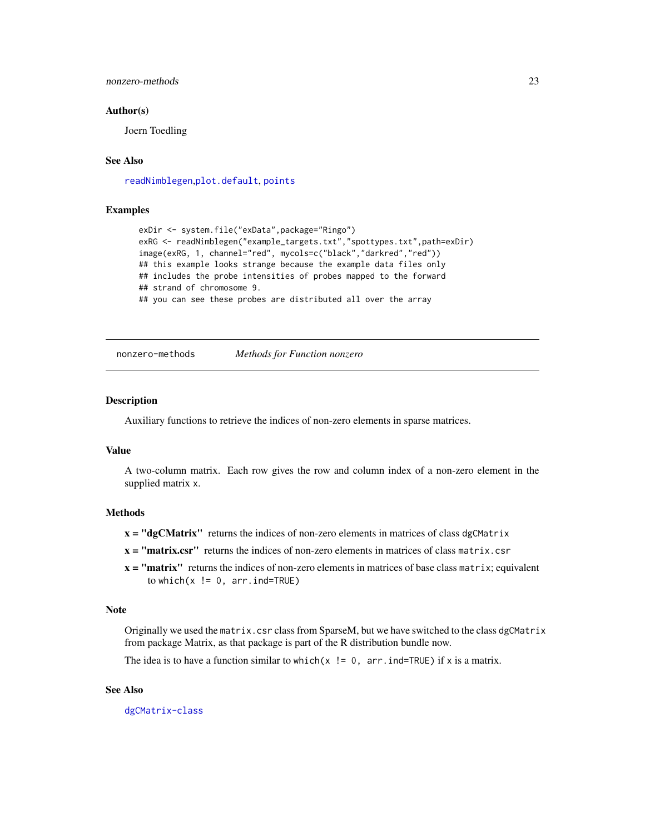# <span id="page-22-0"></span>nonzero-methods 23

#### Author(s)

Joern Toedling

# See Also

[readNimblegen](#page-32-1),[plot.default](#page-0-0), [points](#page-0-0)

#### Examples

```
exDir <- system.file("exData",package="Ringo")
exRG <- readNimblegen("example_targets.txt","spottypes.txt",path=exDir)
image(exRG, 1, channel="red", mycols=c("black","darkred","red"))
## this example looks strange because the example data files only
## includes the probe intensities of probes mapped to the forward
## strand of chromosome 9.
## you can see these probes are distributed all over the array
```
nonzero-methods *Methods for Function nonzero*

# **Description**

Auxiliary functions to retrieve the indices of non-zero elements in sparse matrices.

#### Value

A two-column matrix. Each row gives the row and column index of a non-zero element in the supplied matrix x.

# **Methods**

- $x = "dgCMatrix"$  returns the indices of non-zero elements in matrices of class dgCMatrix
- $x =$  "matrix.csr" returns the indices of non-zero elements in matrices of class matrix.csr
- $x =$  "matrix" returns the indices of non-zero elements in matrices of base class matrix; equivalent to which( $x$  != 0, arr.ind=TRUE)

#### Note

Originally we used the matrix.csr class from SparseM, but we have switched to the class dgCMatrix from package Matrix, as that package is part of the R distribution bundle now.

The idea is to have a function similar to which(x  $!= 0$ , arr. ind=TRUE) if x is a matrix.

# See Also

[dgCMatrix-class](#page-0-0)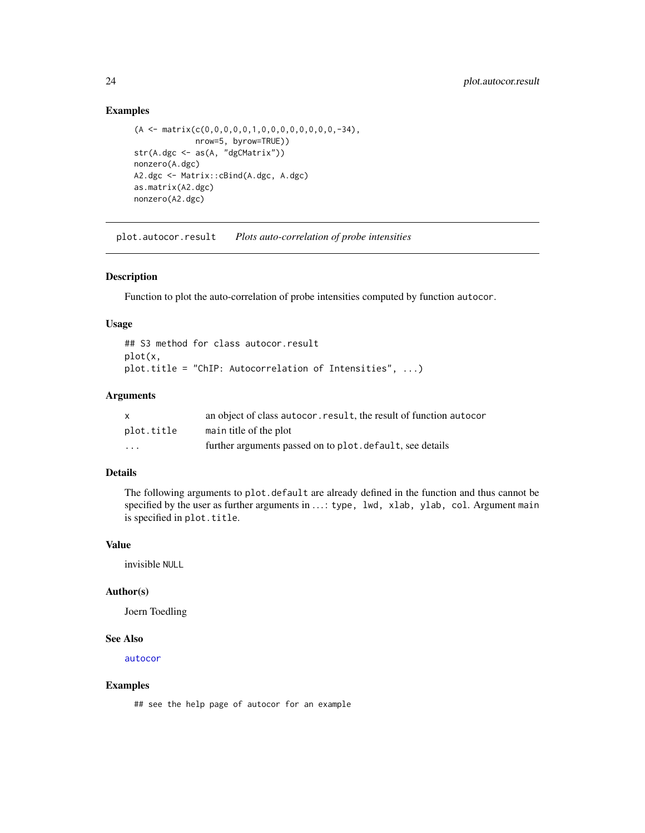# Examples

```
(A \leq \text{matrix}(c(0,0,0,0,0,1,0,0,0,0,0,0,0,0,-34)),nrow=5, byrow=TRUE))
str(A.dgc <- as(A, "dgCMatrix"))
nonzero(A.dgc)
A2.dgc <- Matrix::cBind(A.dgc, A.dgc)
as.matrix(A2.dgc)
nonzero(A2.dgc)
```
<span id="page-23-1"></span>plot.autocor.result *Plots auto-correlation of probe intensities*

# Description

Function to plot the auto-correlation of probe intensities computed by function autocor.

# Usage

## S3 method for class autocor.result plot(x, plot.title = "ChIP: Autocorrelation of Intensities", ...)

# Arguments

| $\mathsf{x}$ | an object of class autocor, result, the result of function autocor |
|--------------|--------------------------------------------------------------------|
| plot.title   | main title of the plot                                             |
| .            | further arguments passed on to plot. default, see details          |

# Details

The following arguments to plot.default are already defined in the function and thus cannot be specified by the user as further arguments in ...: type, lwd, xlab, ylab, col. Argument main is specified in plot.title.

# Value

invisible NULL

#### Author(s)

Joern Toedling

#### See Also

[autocor](#page-2-1)

#### Examples

## see the help page of autocor for an example

<span id="page-23-0"></span>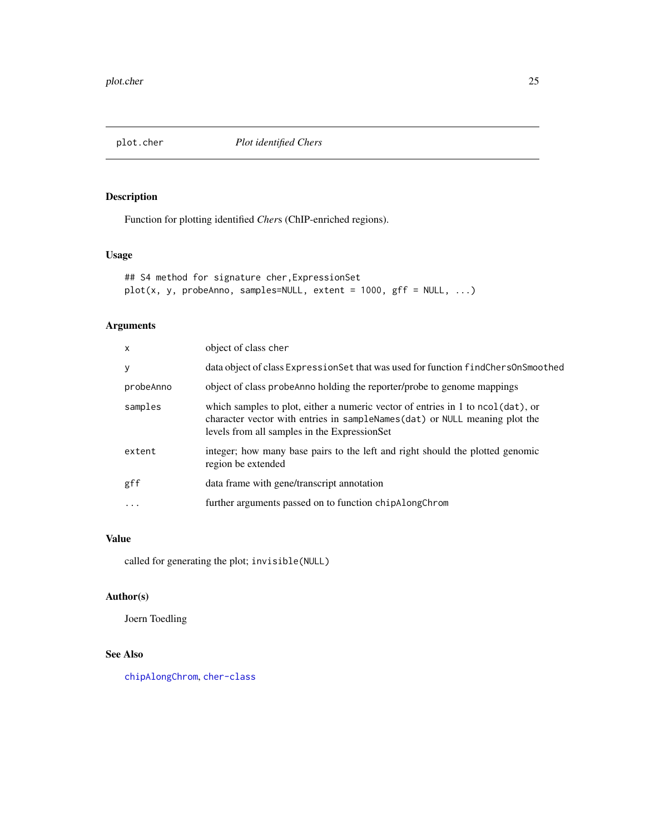<span id="page-24-1"></span><span id="page-24-0"></span>plot.cher *Plot identified Chers*

# Description

Function for plotting identified *Cher*s (ChIP-enriched regions).

# Usage

```
## S4 method for signature cher,ExpressionSet
plot(x, y, probeAnno, samples=NULL, extent = 1000, gff = NULL, ...)
```
# Arguments

| $\mathsf{x}$ | object of class cher                                                                                                                                                                                          |
|--------------|---------------------------------------------------------------------------------------------------------------------------------------------------------------------------------------------------------------|
| y            | data object of class Expression Set that was used for function find Chers On Smoothed                                                                                                                         |
| probeAnno    | object of class probe Anno holding the reporter/probe to genome mappings                                                                                                                                      |
| samples      | which samples to plot, either a numeric vector of entries in 1 to ncol(dat), or<br>character vector with entries in sampleNames(dat) or NULL meaning plot the<br>levels from all samples in the ExpressionSet |
| extent       | integer; how many base pairs to the left and right should the plotted genomic<br>region be extended                                                                                                           |
| gff          | data frame with gene/transcript annotation                                                                                                                                                                    |
| $\ddotsc$    | further arguments passed on to function chipAlongChrom                                                                                                                                                        |

# Value

called for generating the plot; invisible(NULL)

# Author(s)

Joern Toedling

# See Also

[chipAlongChrom](#page-7-1), [cher-class](#page-4-1)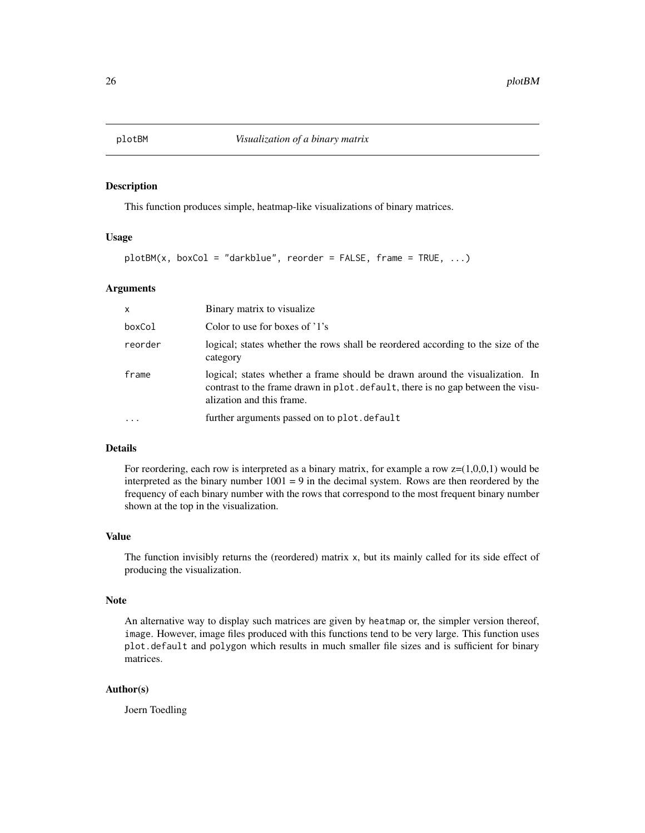<span id="page-25-0"></span>This function produces simple, heatmap-like visualizations of binary matrices.

# Usage

```
plotBM(x, boxCol = "darkblue", reorder = FALSE, frame = TRUE, ...)
```
#### Arguments

| $\mathsf{x}$ | Binary matrix to visualize.                                                                                                                                                                  |
|--------------|----------------------------------------------------------------------------------------------------------------------------------------------------------------------------------------------|
| boxCol       | Color to use for boxes of '1's                                                                                                                                                               |
| reorder      | logical; states whether the rows shall be reordered according to the size of the<br>category                                                                                                 |
| frame        | logical; states whether a frame should be drawn around the visualization. In<br>contrast to the frame drawn in plot. default, there is no gap between the visu-<br>alization and this frame. |
| $\ddotsc$    | further arguments passed on to plot.default                                                                                                                                                  |

# Details

For reordering, each row is interpreted as a binary matrix, for example a row  $z=(1,0,0,1)$  would be interpreted as the binary number  $1001 = 9$  in the decimal system. Rows are then reordered by the frequency of each binary number with the rows that correspond to the most frequent binary number shown at the top in the visualization.

# Value

The function invisibly returns the (reordered) matrix x, but its mainly called for its side effect of producing the visualization.

#### Note

An alternative way to display such matrices are given by heatmap or, the simpler version thereof, image. However, image files produced with this functions tend to be very large. This function uses plot.default and polygon which results in much smaller file sizes and is sufficient for binary matrices.

# Author(s)

Joern Toedling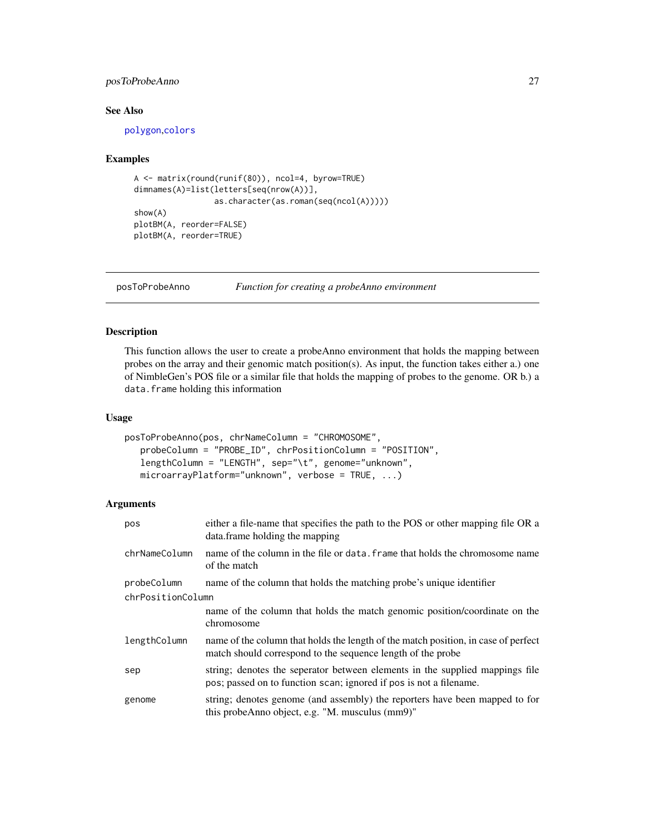# <span id="page-26-0"></span>posToProbeAnno 27

# See Also

[polygon](#page-0-0),[colors](#page-0-0)

#### Examples

```
A <- matrix(round(runif(80)), ncol=4, byrow=TRUE)
dimnames(A)=list(letters[seq(nrow(A))],
                 as.character(as.roman(seq(ncol(A)))))
show(A)
plotBM(A, reorder=FALSE)
plotBM(A, reorder=TRUE)
```
<span id="page-26-1"></span>

posToProbeAnno *Function for creating a probeAnno environment*

#### Description

This function allows the user to create a probeAnno environment that holds the mapping between probes on the array and their genomic match position(s). As input, the function takes either a.) one of NimbleGen's POS file or a similar file that holds the mapping of probes to the genome. OR b.) a data.frame holding this information

#### Usage

```
posToProbeAnno(pos, chrNameColumn = "CHROMOSOME",
  probeColumn = "PROBE_ID", chrPositionColumn = "POSITION",
  lengthColumn = "LENGTH", sep="\t", genome="unknown",
  microarrayPlatform="unknown", verbose = TRUE, ...)
```
# Arguments

| pos               | either a file-name that specifies the path to the POS or other mapping file OR a<br>data.frame holding the mapping                                 |  |
|-------------------|----------------------------------------------------------------------------------------------------------------------------------------------------|--|
| chrNameColumn     | name of the column in the file or data, frame that holds the chromosome name<br>of the match                                                       |  |
| probeColumn       | name of the column that holds the matching probe's unique identifier                                                                               |  |
| chrPositionColumn |                                                                                                                                                    |  |
|                   | name of the column that holds the match genomic position/coordinate on the<br>chromosome                                                           |  |
| lengthColumn      | name of the column that holds the length of the match position, in case of perfect<br>match should correspond to the sequence length of the probe  |  |
| sep               | string; denotes the seperator between elements in the supplied mappings file<br>pos; passed on to function scan; ignored if pos is not a filename. |  |
| genome            | string; denotes genome (and assembly) the reporters have been mapped to for<br>this probe Anno object, e.g. "M. musculus $(mm9)$ "                 |  |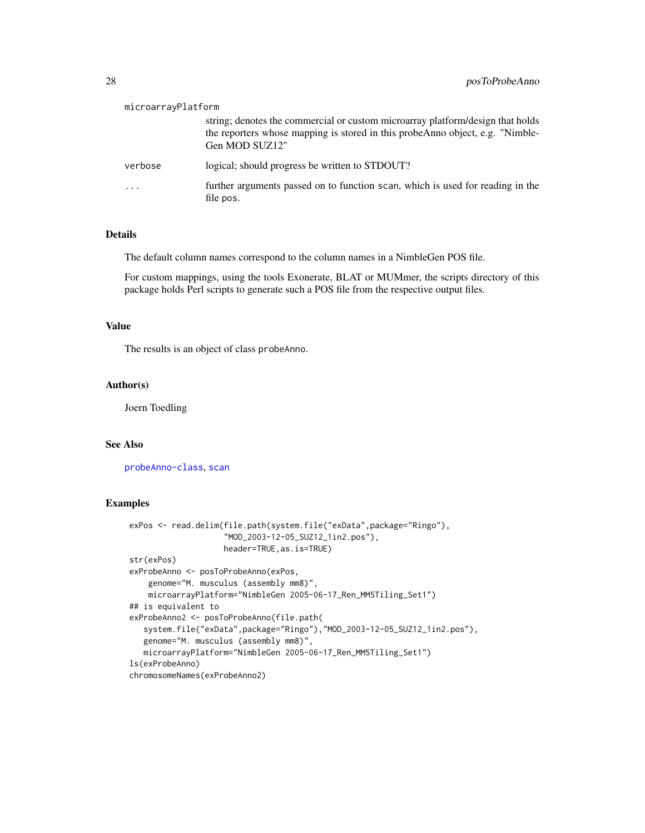| microarrayPlatform |                                                                                                                                                                                    |
|--------------------|------------------------------------------------------------------------------------------------------------------------------------------------------------------------------------|
|                    | string; denotes the commercial or custom microarray platform/design that holds<br>the reporters whose mapping is stored in this probe Anno object, e.g. "Nimble-<br>Gen MOD SUZ12" |
| verbose            | logical; should progress be written to STDOUT?                                                                                                                                     |
| $\ddotsc$          | further arguments passed on to function scan, which is used for reading in the<br>file pos.                                                                                        |

# Details

The default column names correspond to the column names in a NimbleGen POS file.

For custom mappings, using the tools Exonerate, BLAT or MUMmer, the scripts directory of this package holds Perl scripts to generate such a POS file from the respective output files.

# Value

The results is an object of class probeAnno.

#### Author(s)

Joern Toedling

# See Also

[probeAnno-class](#page-30-1), [scan](#page-0-0)

# Examples

```
exPos <- read.delim(file.path(system.file("exData",package="Ringo"),
                    "MOD_2003-12-05_SUZ12_1in2.pos"),
                    header=TRUE,as.is=TRUE)
str(exPos)
exProbeAnno <- posToProbeAnno(exPos,
    genome="M. musculus (assembly mm8)",
    microarrayPlatform="NimbleGen 2005-06-17_Ren_MM5Tiling_Set1")
## is equivalent to
exProbeAnno2 <- posToProbeAnno(file.path(
   system.file("exData",package="Ringo"),"MOD_2003-12-05_SUZ12_1in2.pos"),
   genome="M. musculus (assembly mm8)",
   microarrayPlatform="NimbleGen 2005-06-17_Ren_MM5Tiling_Set1")
ls(exProbeAnno)
chromosomeNames(exProbeAnno2)
```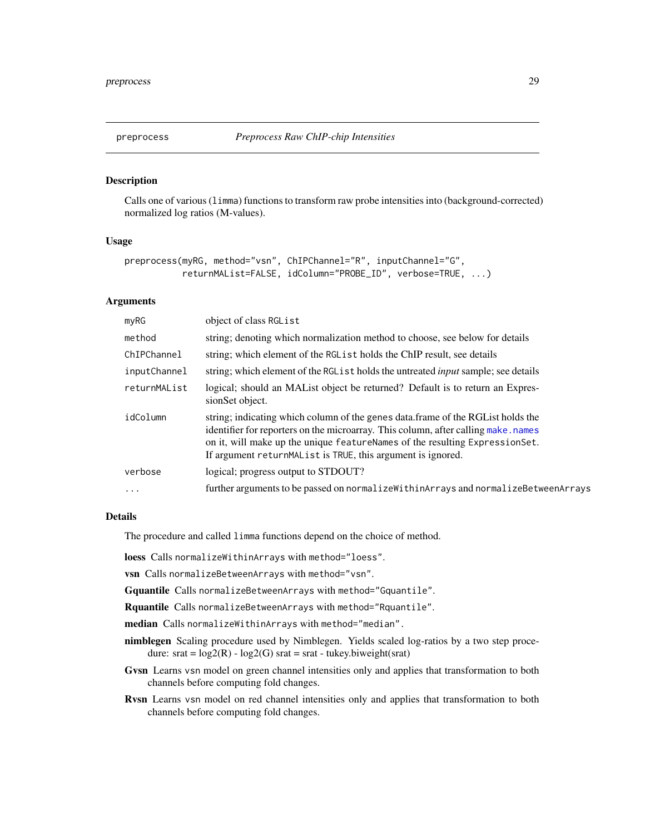<span id="page-28-1"></span><span id="page-28-0"></span>

Calls one of various (limma) functions to transform raw probe intensities into (background-corrected) normalized log ratios (M-values).

#### Usage

```
preprocess(myRG, method="vsn", ChIPChannel="R", inputChannel="G",
           returnMAList=FALSE, idColumn="PROBE_ID", verbose=TRUE, ...)
```
# Arguments

| m <sub>V</sub> RG | object of class RGList                                                                                                                                                                                                                                                                                                |
|-------------------|-----------------------------------------------------------------------------------------------------------------------------------------------------------------------------------------------------------------------------------------------------------------------------------------------------------------------|
| method            | string; denoting which normalization method to choose, see below for details                                                                                                                                                                                                                                          |
| ChIPChannel       | string; which element of the RGL is t holds the ChIP result, see details                                                                                                                                                                                                                                              |
| inputChannel      | string; which element of the RGL is tholds the untreated <i>input</i> sample; see details                                                                                                                                                                                                                             |
| returnMAList      | logical; should an MAL ist object be returned? Default is to return an Expres-<br>sionSet object.                                                                                                                                                                                                                     |
| idColumn          | string; indicating which column of the genes data.frame of the RGL ist holds the<br>identifier for reporters on the microarray. This column, after calling make.names<br>on it, will make up the unique feature Names of the resulting Expression Set.<br>If argument returnMAList is TRUE, this argument is ignored. |
| verbose           | logical; progress output to STDOUT?                                                                                                                                                                                                                                                                                   |
| $\cdots$          | further arguments to be passed on normalize Within Arrays and normalize Between Arrays                                                                                                                                                                                                                                |
|                   |                                                                                                                                                                                                                                                                                                                       |

#### Details

The procedure and called limma functions depend on the choice of method.

loess Calls normalizeWithinArrays with method="loess".

vsn Calls normalizeBetweenArrays with method="vsn".

Gquantile Calls normalizeBetweenArrays with method="Gquantile".

Rquantile Calls normalizeBetweenArrays with method="Rquantile".

median Calls normalizeWithinArrays with method="median".

- nimblegen Scaling procedure used by Nimblegen. Yields scaled log-ratios by a two step procedure:  $srat = log2(R) - log2(G)$  srat =  $srat$  - tukey.biweight(srat)
- Gvsn Learns vsn model on green channel intensities only and applies that transformation to both channels before computing fold changes.
- Rvsn Learns vsn model on red channel intensities only and applies that transformation to both channels before computing fold changes.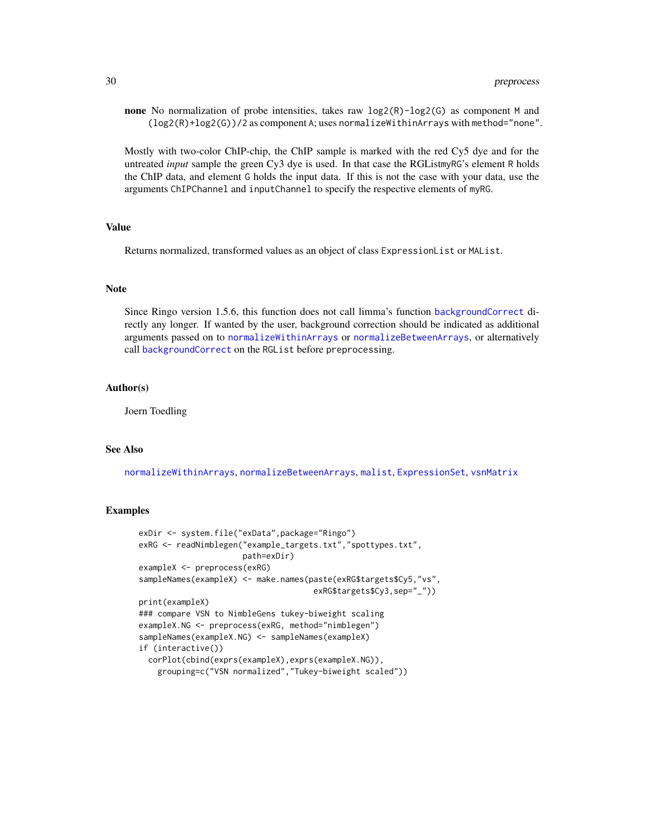**none** No normalization of probe intensities, takes raw  $log2(R)$ -log2(G) as component M and  $(log2(R)+log2(G))/2$  as component A; uses normalizeWithinArrays with method="none".

Mostly with two-color ChIP-chip, the ChIP sample is marked with the red Cy5 dye and for the untreated *input* sample the green Cy3 dye is used. In that case the RGListmyRG's element R holds the ChIP data, and element G holds the input data. If this is not the case with your data, use the arguments ChIPChannel and inputChannel to specify the respective elements of myRG.

#### Value

Returns normalized, transformed values as an object of class ExpressionList or MAList.

#### **Note**

Since Ringo version 1.5.6, this function does not call limma's function [backgroundCorrect](#page-0-0) directly any longer. If wanted by the user, background correction should be indicated as additional arguments passed on to [normalizeWithinArrays](#page-0-0) or [normalizeBetweenArrays](#page-0-0), or alternatively call [backgroundCorrect](#page-0-0) on the RGList before preprocessing.

#### Author(s)

Joern Toedling

#### See Also

[normalizeWithinArrays](#page-0-0), [normalizeBetweenArrays](#page-0-0), [malist](#page-0-0), [ExpressionSet](#page-0-0), [vsnMatrix](#page-0-0)

#### Examples

```
exDir <- system.file("exData",package="Ringo")
exRG <- readNimblegen("example_targets.txt","spottypes.txt",
                     path=exDir)
exampleX <- preprocess(exRG)
sampleNames(exampleX) <- make.names(paste(exRG$targets$Cy5,"vs",
                                     exRG$targets$Cy3,sep="_"))
print(exampleX)
### compare VSN to NimbleGens tukey-biweight scaling
exampleX.NG <- preprocess(exRG, method="nimblegen")
sampleNames(exampleX.NG) <- sampleNames(exampleX)
if (interactive())
  corPlot(cbind(exprs(exampleX),exprs(exampleX.NG)),
   grouping=c("VSN normalized","Tukey-biweight scaled"))
```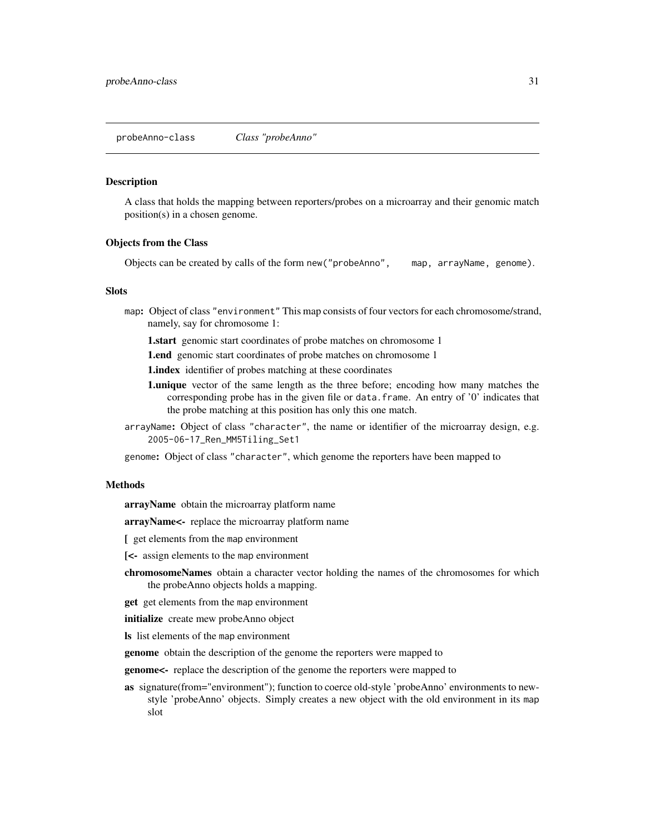<span id="page-30-1"></span><span id="page-30-0"></span>probeAnno-class *Class "probeAnno"*

#### Description

A class that holds the mapping between reporters/probes on a microarray and their genomic match position(s) in a chosen genome.

#### Objects from the Class

Objects can be created by calls of the form new("probeAnno", map, arrayName, genome).

#### **Slots**

- map: Object of class "environment" This map consists of four vectors for each chromosome/strand, namely, say for chromosome 1:
	- **1.start** genomic start coordinates of probe matches on chromosome 1
	- **1.end** genomic start coordinates of probe matches on chromosome 1

**1.index** identifier of probes matching at these coordinates

- **1.unique** vector of the same length as the three before; encoding how many matches the corresponding probe has in the given file or data.frame. An entry of '0' indicates that the probe matching at this position has only this one match.
- arrayName: Object of class "character", the name or identifier of the microarray design, e.g. 2005-06-17\_Ren\_MM5Tiling\_Set1
- genome: Object of class "character", which genome the reporters have been mapped to

#### Methods

arrayName obtain the microarray platform name

arrayName<- replace the microarray platform name

- [ get elements from the map environment
- [<- assign elements to the map environment
- chromosomeNames obtain a character vector holding the names of the chromosomes for which the probeAnno objects holds a mapping.

get get elements from the map environment

initialize create mew probeAnno object

ls list elements of the map environment

genome obtain the description of the genome the reporters were mapped to

genome<- replace the description of the genome the reporters were mapped to

as signature(from="environment"); function to coerce old-style 'probeAnno' environments to newstyle 'probeAnno' objects. Simply creates a new object with the old environment in its map slot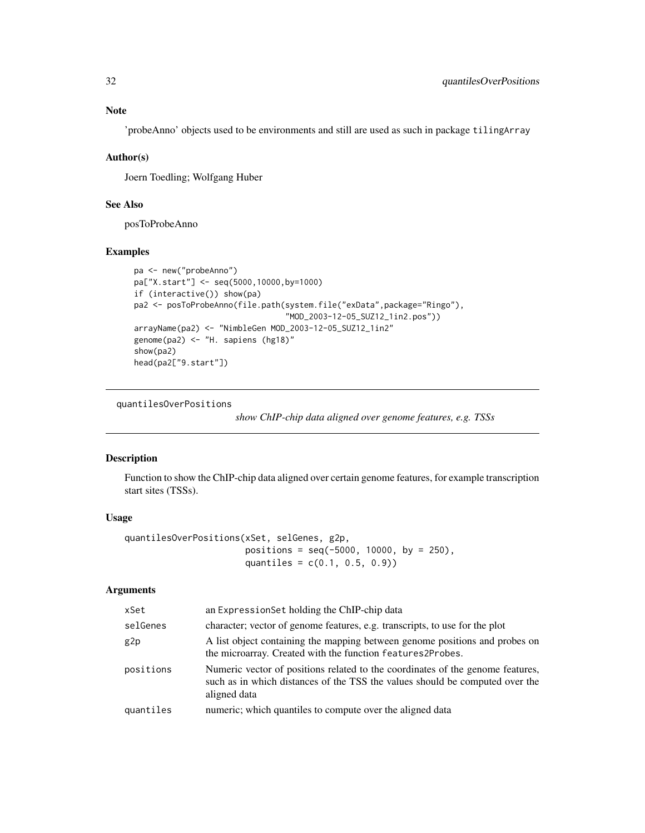# <span id="page-31-0"></span>Note

'probeAnno' objects used to be environments and still are used as such in package tilingArray

# Author(s)

Joern Toedling; Wolfgang Huber

# See Also

posToProbeAnno

# Examples

```
pa <- new("probeAnno")
pa["X.start"] <- seq(5000,10000,by=1000)
if (interactive()) show(pa)
pa2 <- posToProbeAnno(file.path(system.file("exData",package="Ringo"),
                                "MOD_2003-12-05_SUZ12_1in2.pos"))
arrayName(pa2) <- "NimbleGen MOD_2003-12-05_SUZ12_1in2"
genome(pa2) <- "H. sapiens (hg18)"
show(pa2)
head(pa2["9.start"])
```
quantilesOverPositions

*show ChIP-chip data aligned over genome features, e.g. TSSs*

#### Description

Function to show the ChIP-chip data aligned over certain genome features, for example transcription start sites (TSSs).

# Usage

```
quantilesOverPositions(xSet, selGenes, g2p,
                       positions = seq(-5000, 10000, by = 250),
                       quantiles = c(0.1, 0.5, 0.9))
```
# Arguments

| xSet      | an ExpressionSet holding the ChIP-chip data                                                                                                                                    |
|-----------|--------------------------------------------------------------------------------------------------------------------------------------------------------------------------------|
| selGenes  | character; vector of genome features, e.g. transcripts, to use for the plot                                                                                                    |
| g2p       | A list object containing the mapping between genome positions and probes on<br>the microarray. Created with the function features2Probes.                                      |
| positions | Numeric vector of positions related to the coordinates of the genome features,<br>such as in which distances of the TSS the values should be computed over the<br>aligned data |
| quantiles | numeric; which quantiles to compute over the aligned data                                                                                                                      |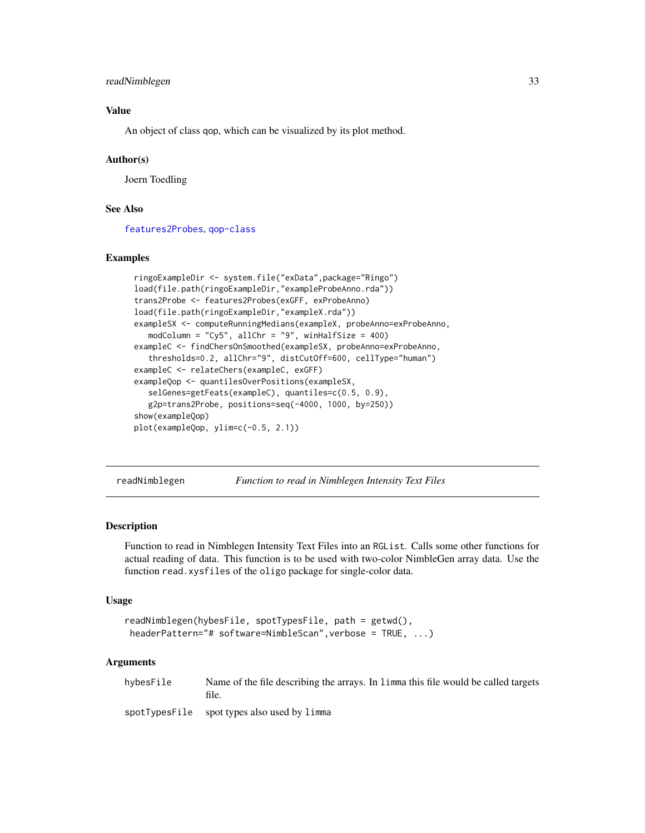# <span id="page-32-0"></span>readNimblegen 33

# Value

An object of class qop, which can be visualized by its plot method.

#### Author(s)

Joern Toedling

# See Also

[features2Probes](#page-16-1), [qop-class](#page-0-0)

#### Examples

```
ringoExampleDir <- system.file("exData",package="Ringo")
load(file.path(ringoExampleDir,"exampleProbeAnno.rda"))
trans2Probe <- features2Probes(exGFF, exProbeAnno)
load(file.path(ringoExampleDir,"exampleX.rda"))
exampleSX <- computeRunningMedians(exampleX, probeAnno=exProbeAnno,
   modColumn = "Cy5", allChr = "9", winHalfSize = 400)
exampleC <- findChersOnSmoothed(exampleSX, probeAnno=exProbeAnno,
   thresholds=0.2, allChr="9", distCutOff=600, cellType="human")
exampleC <- relateChers(exampleC, exGFF)
exampleQop <- quantilesOverPositions(exampleSX,
   selGenes=getFeats(exampleC), quantiles=c(0.5, 0.9),
   g2p=trans2Probe, positions=seq(-4000, 1000, by=250))
show(exampleQop)
plot(exampleQop, ylim=c(-0.5, 2.1))
```
<span id="page-32-1"></span>readNimblegen *Function to read in Nimblegen Intensity Text Files*

#### Description

Function to read in Nimblegen Intensity Text Files into an RGList. Calls some other functions for actual reading of data. This function is to be used with two-color NimbleGen array data. Use the function read.xysfiles of the oligo package for single-color data.

#### Usage

```
readNimblegen(hybesFile, spotTypesFile, path = getwd(),
headerPattern="# software=NimbleScan",verbose = TRUE, ...)
```
#### Arguments

hybesFile Name of the file describing the arrays. In limma this file would be called targets file.

spotTypesFile spot types also used by limma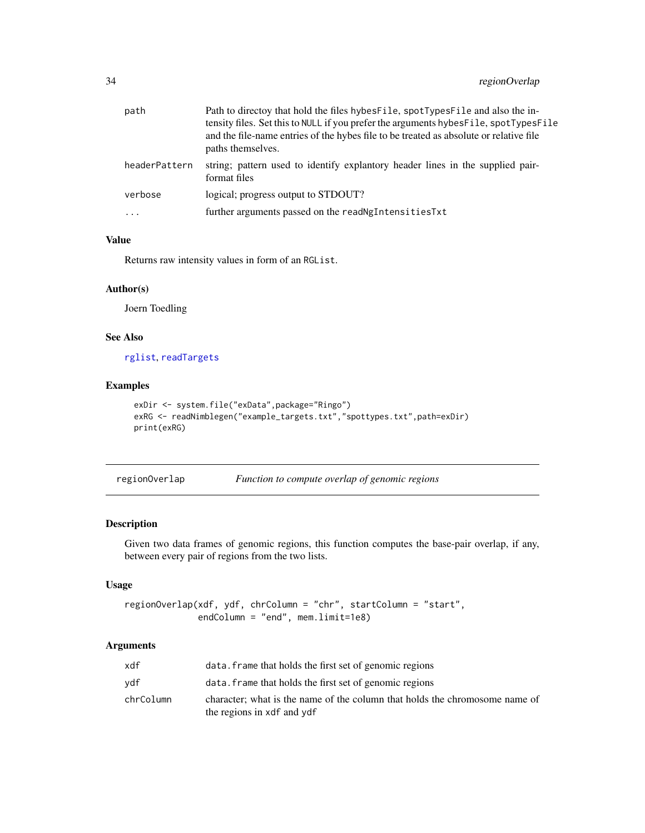<span id="page-33-0"></span>

| path          | Path to directoy that hold the files hybes File, spotTypes File and also the in-<br>tensity files. Set this to NULL if you prefer the arguments hybes File, spotTypes File<br>and the file-name entries of the hybes file to be treated as absolute or relative file<br>paths themselves. |
|---------------|-------------------------------------------------------------------------------------------------------------------------------------------------------------------------------------------------------------------------------------------------------------------------------------------|
| headerPattern | string; pattern used to identify explant or header lines in the supplied pair-<br>format files                                                                                                                                                                                            |
| verbose       | logical; progress output to STDOUT?                                                                                                                                                                                                                                                       |
| $\cdots$      | further arguments passed on the read NgIntensities Txt                                                                                                                                                                                                                                    |
|               |                                                                                                                                                                                                                                                                                           |

# Value

Returns raw intensity values in form of an RGList.

# Author(s)

Joern Toedling

# See Also

[rglist](#page-0-0), [readTargets](#page-0-0)

# Examples

```
exDir <- system.file("exData",package="Ringo")
exRG <- readNimblegen("example_targets.txt","spottypes.txt",path=exDir)
print(exRG)
```
<span id="page-33-1"></span>

| regionOverlap |                                                |  |  |
|---------------|------------------------------------------------|--|--|
|               | Function to compute overlap of genomic regions |  |  |

#### Description

Given two data frames of genomic regions, this function computes the base-pair overlap, if any, between every pair of regions from the two lists.

# Usage

```
regionOverlap(xdf, ydf, chrColumn = "chr", startColumn = "start",
              endColumn = "end", mem.limit=1e8)
```
# Arguments

| xdf       | data. Frame that holds the first set of genomic regions                                                   |
|-----------|-----------------------------------------------------------------------------------------------------------|
| vdf       | data. Frame that holds the first set of genomic regions                                                   |
| chrColumn | character; what is the name of the column that holds the chromosome name of<br>the regions in xdf and ydf |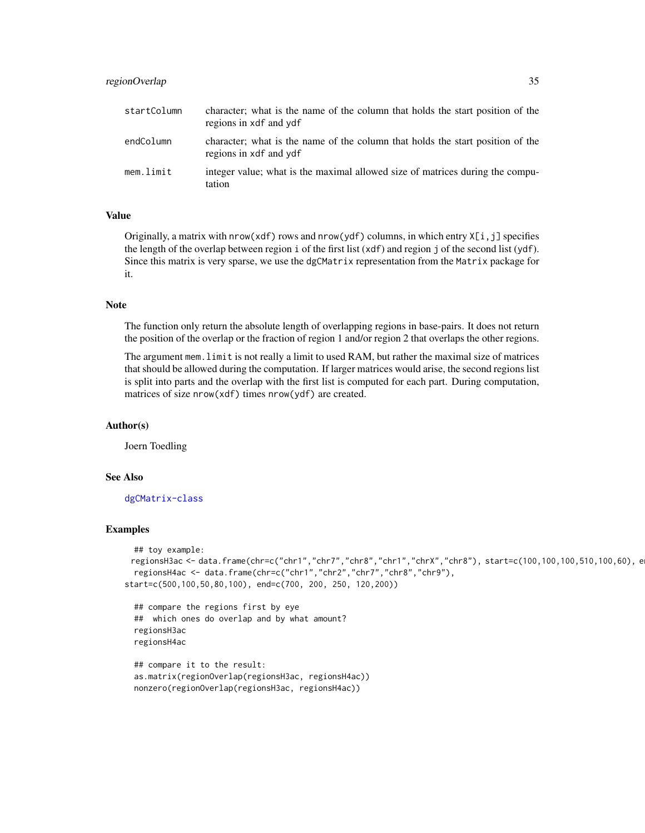# regionOverlap 35

| startColumn | character; what is the name of the column that holds the start position of the<br>regions in xdf and ydf |
|-------------|----------------------------------------------------------------------------------------------------------|
| endColumn   | character; what is the name of the column that holds the start position of the<br>regions in xdf and ydf |
| mem.limit   | integer value; what is the maximal allowed size of matrices during the compu-<br>tation                  |

# Value

Originally, a matrix with nrow(xdf) rows and nrow(ydf) columns, in which entry X[i,j] specifies the length of the overlap between region i of the first list (xdf) and region j of the second list (ydf). Since this matrix is very sparse, we use the dgCMatrix representation from the Matrix package for it.

#### Note

The function only return the absolute length of overlapping regions in base-pairs. It does not return the position of the overlap or the fraction of region 1 and/or region 2 that overlaps the other regions.

The argument mem.limit is not really a limit to used RAM, but rather the maximal size of matrices that should be allowed during the computation. If larger matrices would arise, the second regions list is split into parts and the overlap with the first list is computed for each part. During computation, matrices of size nrow(xdf) times nrow(ydf) are created.

#### Author(s)

Joern Toedling

#### See Also

[dgCMatrix-class](#page-0-0)

#### Examples

```
## toy example:
 regionsH3ac <- data.frame(chr=c("chr1","chr7","chr8","chr1","chrX","chr8"), start=c(100,100,100,510,100,60), e
 regionsH4ac <- data.frame(chr=c("chr1","chr2","chr7","chr8","chr9"),
start=c(500,100,50,80,100), end=c(700, 200, 250, 120,200))
```

```
## compare the regions first by eye
## which ones do overlap and by what amount?
regionsH3ac
regionsH4ac
```

```
## compare it to the result:
as.matrix(regionOverlap(regionsH3ac, regionsH4ac))
nonzero(regionOverlap(regionsH3ac, regionsH4ac))
```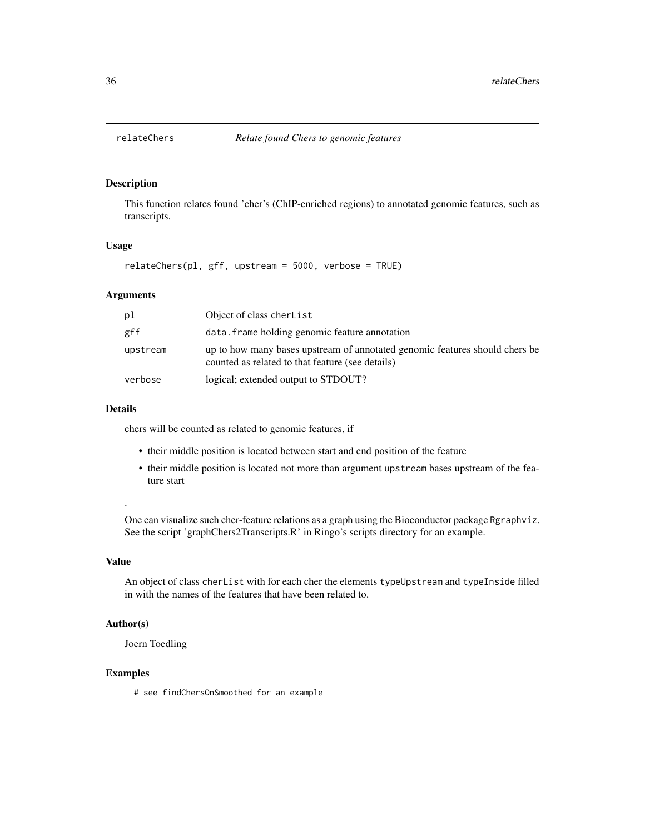<span id="page-35-1"></span><span id="page-35-0"></span>

This function relates found 'cher's (ChIP-enriched regions) to annotated genomic features, such as transcripts.

# Usage

relateChers(pl, gff, upstream = 5000, verbose = TRUE)

# Arguments

| рl       | Object of class cherList                                                                                                        |
|----------|---------------------------------------------------------------------------------------------------------------------------------|
| gff      | data. frame holding genomic feature annotation                                                                                  |
| upstream | up to how many bases upstream of annotated genomic features should chers be<br>counted as related to that feature (see details) |
| verbose  | logical; extended output to STDOUT?                                                                                             |

# Details

chers will be counted as related to genomic features, if

- their middle position is located between start and end position of the feature
- their middle position is located not more than argument upstream bases upstream of the feature start

# .

One can visualize such cher-feature relations as a graph using the Bioconductor package Rgraphviz. See the script 'graphChers2Transcripts.R' in Ringo's scripts directory for an example.

# Value

An object of class cherList with for each cher the elements typeUpstream and typeInside filled in with the names of the features that have been related to.

# Author(s)

Joern Toedling

#### Examples

# see findChersOnSmoothed for an example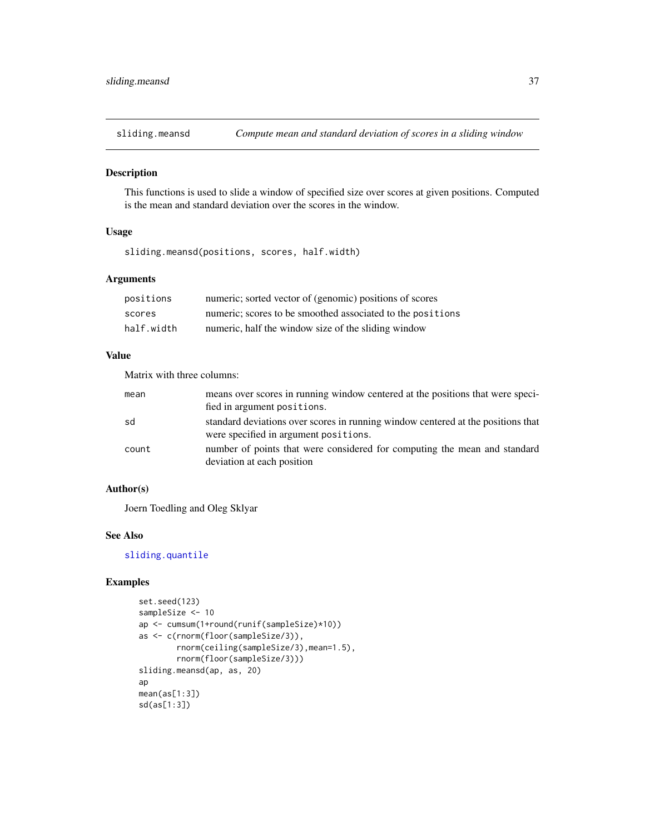<span id="page-36-1"></span><span id="page-36-0"></span>

This functions is used to slide a window of specified size over scores at given positions. Computed is the mean and standard deviation over the scores in the window.

# Usage

sliding.meansd(positions, scores, half.width)

# Arguments

| positions  | numeric; sorted vector of (genomic) positions of scores    |
|------------|------------------------------------------------------------|
| scores     | numeric; scores to be smoothed associated to the positions |
| half.width | numeric, half the window size of the sliding window        |

#### Value

Matrix with three columns:

| mean  | means over scores in running window centered at the positions that were speci-<br>fied in argument positions.             |
|-------|---------------------------------------------------------------------------------------------------------------------------|
| sd    | standard deviations over scores in running window centered at the positions that<br>were specified in argument positions. |
| count | number of points that were considered for computing the mean and standard<br>deviation at each position                   |

# Author(s)

Joern Toedling and Oleg Sklyar

# See Also

[sliding.quantile](#page-37-1)

# Examples

```
set.seed(123)
sampleSize <- 10
ap <- cumsum(1+round(runif(sampleSize)*10))
as <- c(rnorm(floor(sampleSize/3)),
        rnorm(ceiling(sampleSize/3),mean=1.5),
        rnorm(floor(sampleSize/3)))
sliding.meansd(ap, as, 20)
ap
mean(as[1:3])
sd(as[1:3])
```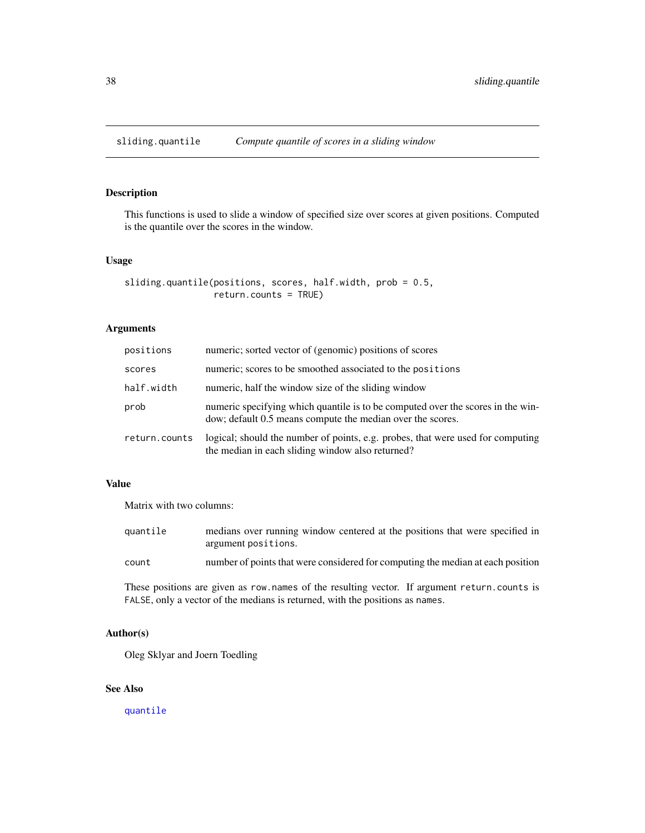<span id="page-37-1"></span><span id="page-37-0"></span>

This functions is used to slide a window of specified size over scores at given positions. Computed is the quantile over the scores in the window.

# Usage

```
sliding.quantile(positions, scores, half.width, prob = 0.5,
                 return.counts = TRUE)
```
# Arguments

| positions     | numeric; sorted vector of (genomic) positions of scores                                                                                       |
|---------------|-----------------------------------------------------------------------------------------------------------------------------------------------|
| scores        | numeric; scores to be smoothed associated to the positions                                                                                    |
| half.width    | numeric, half the window size of the sliding window                                                                                           |
| prob          | numeric specifying which quantile is to be computed over the scores in the win-<br>dow; default 0.5 means compute the median over the scores. |
| return.counts | logical; should the number of points, e.g. probes, that were used for computing<br>the median in each sliding window also returned?           |

# Value

Matrix with two columns:

| quantile | medians over running window centered at the positions that were specified in<br>argument positions. |
|----------|-----------------------------------------------------------------------------------------------------|
| count    | number of points that were considered for computing the median at each position                     |

These positions are given as row.names of the resulting vector. If argument return.counts is FALSE, only a vector of the medians is returned, with the positions as names.

#### Author(s)

Oleg Sklyar and Joern Toedling

# See Also

[quantile](#page-0-0)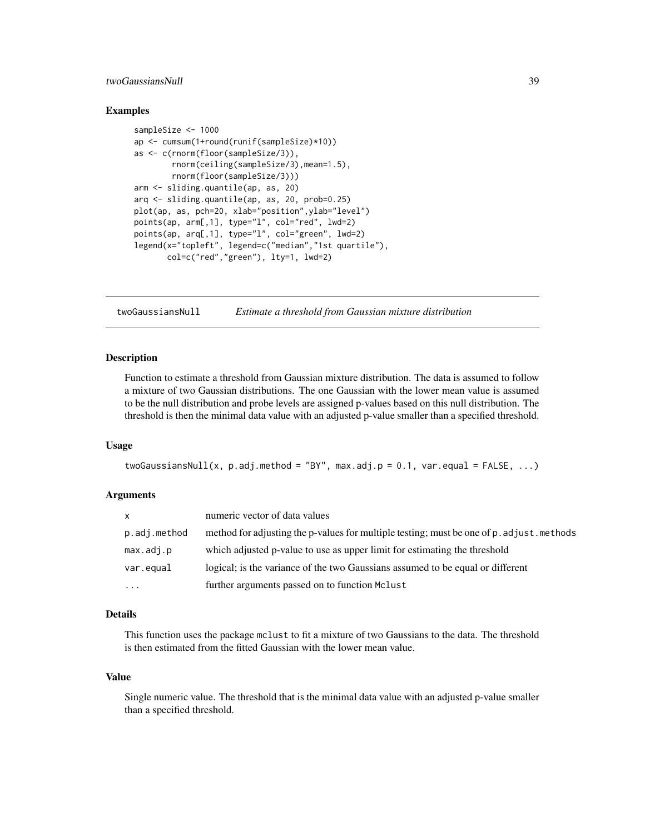# <span id="page-38-0"></span>twoGaussiansNull 39

#### Examples

```
sampleSize <- 1000
ap <- cumsum(1+round(runif(sampleSize)*10))
as <- c(rnorm(floor(sampleSize/3)),
        rnorm(ceiling(sampleSize/3),mean=1.5),
        rnorm(floor(sampleSize/3)))
arm <- sliding.quantile(ap, as, 20)
arq <- sliding.quantile(ap, as, 20, prob=0.25)
plot(ap, as, pch=20, xlab="position",ylab="level")
points(ap, arm[,1], type="l", col="red", lwd=2)
points(ap, arq[,1], type="l", col="green", lwd=2)
legend(x="topleft", legend=c("median","1st quartile"),
       col=c("red","green"), lty=1, lwd=2)
```
twoGaussiansNull *Estimate a threshold from Gaussian mixture distribution*

#### **Description**

Function to estimate a threshold from Gaussian mixture distribution. The data is assumed to follow a mixture of two Gaussian distributions. The one Gaussian with the lower mean value is assumed to be the null distribution and probe levels are assigned p-values based on this null distribution. The threshold is then the minimal data value with an adjusted p-value smaller than a specified threshold.

#### Usage

```
twoGaussiansNull(x, p.adj.method = "BY", max.adj.p = 0.1, var.equal = FALSE, ...)
```
#### Arguments

| <b>X</b>     | numeric vector of data values                                                             |
|--------------|-------------------------------------------------------------------------------------------|
| p.adj.method | method for adjusting the p-values for multiple testing; must be one of p. adjust. methods |
| max.addj.p   | which adjusted p-value to use as upper limit for estimating the threshold                 |
| var.equal    | logical; is the variance of the two Gaussians assumed to be equal or different            |
| $\cdots$     | further arguments passed on to function Mclust                                            |

# Details

This function uses the package mclust to fit a mixture of two Gaussians to the data. The threshold is then estimated from the fitted Gaussian with the lower mean value.

#### Value

Single numeric value. The threshold that is the minimal data value with an adjusted p-value smaller than a specified threshold.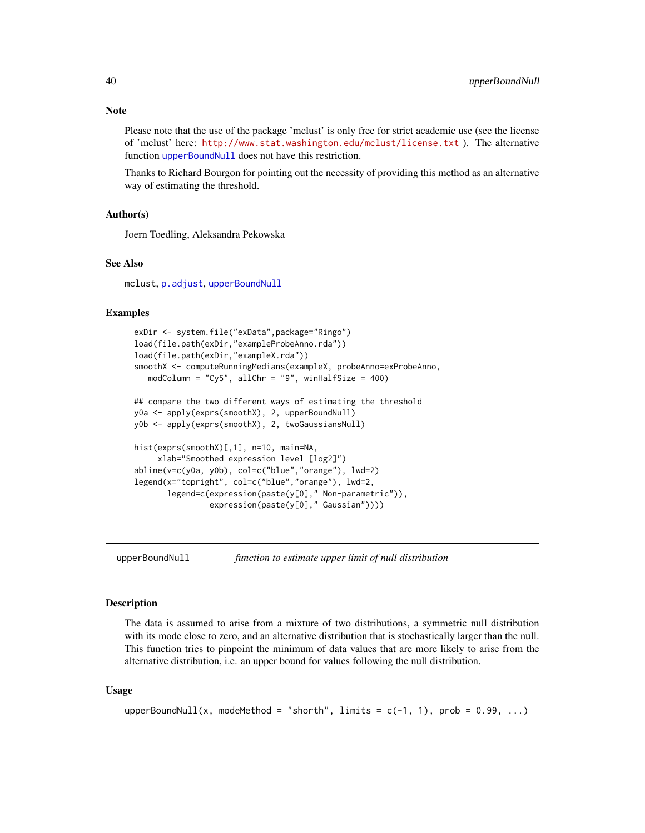<span id="page-39-0"></span>**Note** 

Please note that the use of the package 'mclust' is only free for strict academic use (see the license of 'mclust' here: <http://www.stat.washington.edu/mclust/license.txt> ). The alternative function [upperBoundNull](#page-39-1) does not have this restriction.

Thanks to Richard Bourgon for pointing out the necessity of providing this method as an alternative way of estimating the threshold.

#### Author(s)

Joern Toedling, Aleksandra Pekowska

#### See Also

mclust, [p.adjust](#page-0-0), [upperBoundNull](#page-39-1)

#### Examples

```
exDir <- system.file("exData",package="Ringo")
load(file.path(exDir,"exampleProbeAnno.rda"))
load(file.path(exDir,"exampleX.rda"))
smoothX <- computeRunningMedians(exampleX, probeAnno=exProbeAnno,
   modColumn = "Cy5", allChr = "9", winHalfSize = 400)
## compare the two different ways of estimating the threshold
y0a <- apply(exprs(smoothX), 2, upperBoundNull)
y0b <- apply(exprs(smoothX), 2, twoGaussiansNull)
hist(exprs(smoothX)[,1], n=10, main=NA,
     xlab="Smoothed expression level [log2]")
abline(v=c(y0a, y0b), col=c("blue","orange"), lwd=2)
legend(x="topright", col=c("blue","orange"), lwd=2,
       legend=c(expression(paste(y[0]," Non-parametric")),
                expression(paste(y[0]," Gaussian"))))
```
<span id="page-39-1"></span>

upperBoundNull *function to estimate upper limit of null distribution*

#### Description

The data is assumed to arise from a mixture of two distributions, a symmetric null distribution with its mode close to zero, and an alternative distribution that is stochastically larger than the null. This function tries to pinpoint the minimum of data values that are more likely to arise from the alternative distribution, i.e. an upper bound for values following the null distribution.

#### Usage

```
upperBoundNull(x, modeMethod = "shorth", limits = c(-1, 1), prob = 0.99, ...)
```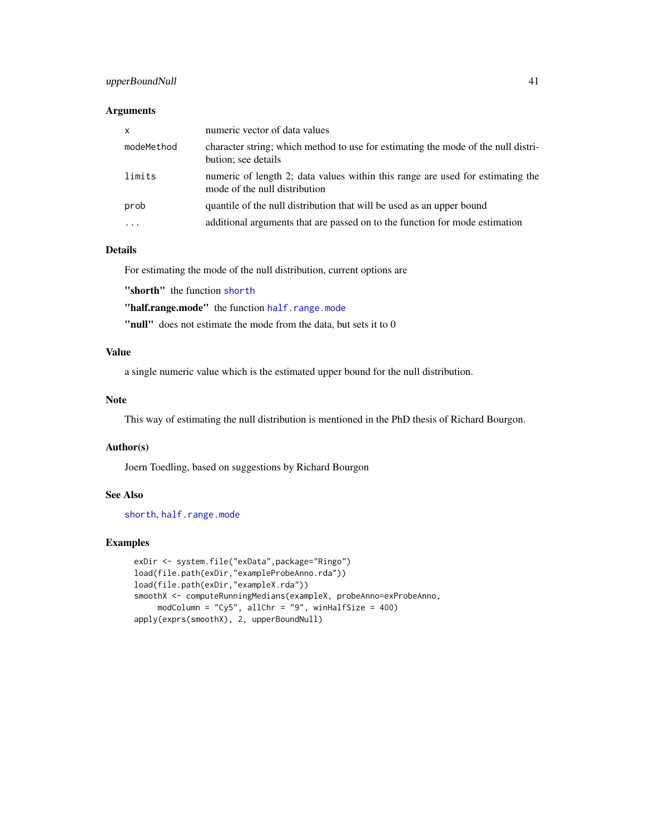# upperBoundNull 41

#### Arguments

| $\mathsf{x}$ | numeric vector of data values                                                                                   |
|--------------|-----------------------------------------------------------------------------------------------------------------|
| modeMethod   | character string; which method to use for estimating the mode of the null distri-<br>bution; see details        |
| limits       | numeric of length 2; data values within this range are used for estimating the<br>mode of the null distribution |
| prob         | quantile of the null distribution that will be used as an upper bound                                           |
| $\cdots$     | additional arguments that are passed on to the function for mode estimation                                     |

# Details

For estimating the mode of the null distribution, current options are

"[shorth](#page-0-0)" the function shorth

"[half.range.mode](#page-0-0)" the function half.range.mode

"null" does not estimate the mode from the data, but sets it to 0

# Value

a single numeric value which is the estimated upper bound for the null distribution.

# Note

This way of estimating the null distribution is mentioned in the PhD thesis of Richard Bourgon.

#### Author(s)

Joern Toedling, based on suggestions by Richard Bourgon

# See Also

[shorth](#page-0-0), [half.range.mode](#page-0-0)

# Examples

```
exDir <- system.file("exData",package="Ringo")
load(file.path(exDir,"exampleProbeAnno.rda"))
load(file.path(exDir,"exampleX.rda"))
smoothX <- computeRunningMedians(exampleX, probeAnno=exProbeAnno,
     modColumn = "Cy5", allChr = "9", winHalfSize = 400)
apply(exprs(smoothX), 2, upperBoundNull)
```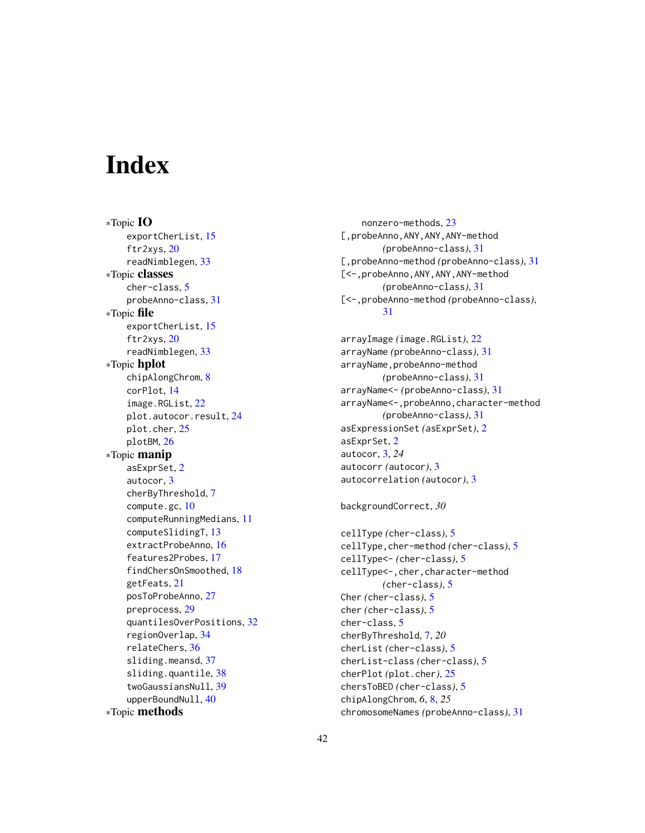# <span id="page-41-0"></span>**Index**

∗Topic IO exportCherList, [15](#page-14-0) ftr2xys, [20](#page-19-0) readNimblegen, [33](#page-32-0) ∗Topic classes cher-class, [5](#page-4-0) probeAnno-class, [31](#page-30-0) ∗Topic file exportCherList, [15](#page-14-0) ftr2xys, [20](#page-19-0) readNimblegen, [33](#page-32-0) ∗Topic hplot chipAlongChrom, [8](#page-7-0) corPlot, [14](#page-13-0) image.RGList, [22](#page-21-0) plot.autocor.result, [24](#page-23-0) plot.cher, [25](#page-24-0) plotBM, [26](#page-25-0) ∗Topic manip asExprSet, [2](#page-1-0) autocor, [3](#page-2-0) cherByThreshold, [7](#page-6-0) compute.gc, [10](#page-9-0) computeRunningMedians, [11](#page-10-0) computeSlidingT, [13](#page-12-0) extractProbeAnno, [16](#page-15-0) features2Probes, [17](#page-16-0) findChersOnSmoothed, [18](#page-17-0) getFeats, [21](#page-20-0) posToProbeAnno, [27](#page-26-0) preprocess, [29](#page-28-0) quantilesOverPositions, [32](#page-31-0) regionOverlap, [34](#page-33-0) relateChers, [36](#page-35-0) sliding.meansd, [37](#page-36-0) sliding.quantile, [38](#page-37-0) twoGaussiansNull, [39](#page-38-0) upperBoundNull, [40](#page-39-0) ∗Topic methods

nonzero-methods, [23](#page-22-0) [,probeAnno,ANY,ANY,ANY-method *(*probeAnno-class*)*, [31](#page-30-0) [,probeAnno-method *(*probeAnno-class*)*, [31](#page-30-0) [<-,probeAnno,ANY,ANY,ANY-method *(*probeAnno-class*)*, [31](#page-30-0) [<-,probeAnno-method *(*probeAnno-class*)*, [31](#page-30-0)

arrayImage *(*image.RGList*)*, [22](#page-21-0) arrayName *(*probeAnno-class*)*, [31](#page-30-0) arrayName,probeAnno-method *(*probeAnno-class*)*, [31](#page-30-0) arrayName<- *(*probeAnno-class*)*, [31](#page-30-0) arrayName<-,probeAnno,character-method *(*probeAnno-class*)*, [31](#page-30-0) asExpressionSet *(*asExprSet*)*, [2](#page-1-0) asExprSet, [2](#page-1-0) autocor, [3,](#page-2-0) *24* autocorr *(*autocor*)*, [3](#page-2-0) autocorrelation *(*autocor*)*, [3](#page-2-0)

backgroundCorrect, *30*

```
cellType (cher-class), 5
cellType,cher-method (cher-class), 5
cellType<- (cher-class), 5
cellType<-,cher,character-method
        (cher-class), 5
Cher (cher-class), 5
cher (cher-class), 5
cher-class, 5
cherByThreshold, 7, 20
cherList (cher-class), 5
cherList-class (cher-class), 5
cherPlot (plot.cher), 25
chersToBED (cher-class), 5
chipAlongChrom, 6, 8, 25
chromosomeNames (probeAnno-class), 31
```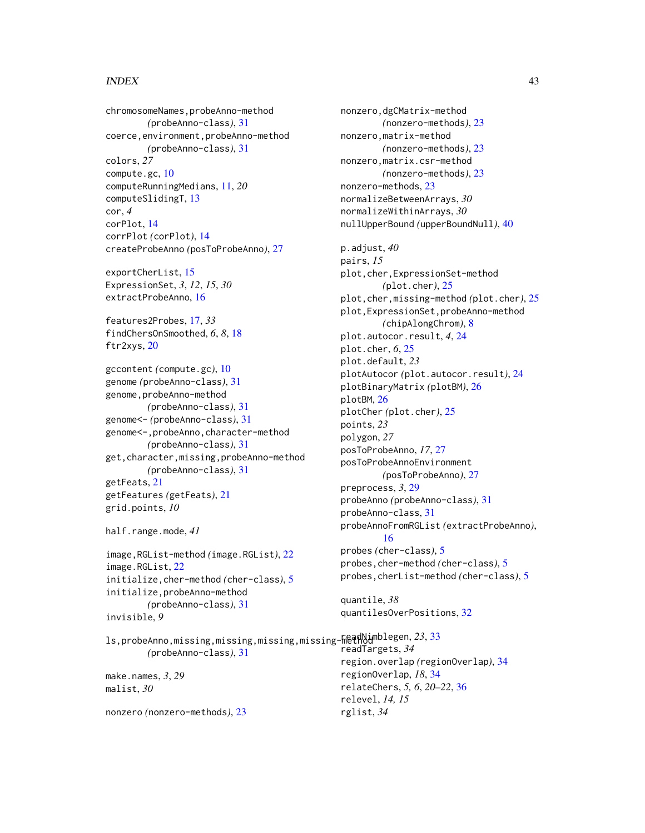#### $I<sub>N</sub>$  and  $I<sub>3</sub>$  and  $I<sub>43</sub>$

chromosomeNames,probeAnno-method *(*probeAnno-class*)*, [31](#page-30-0) coerce,environment,probeAnno-method *(*probeAnno-class*)*, [31](#page-30-0) colors, *27* compute.gc, [10](#page-9-0) computeRunningMedians, [11,](#page-10-0) *20* computeSlidingT, [13](#page-12-0) cor, *4* corPlot, [14](#page-13-0) corrPlot *(*corPlot*)*, [14](#page-13-0) createProbeAnno *(*posToProbeAnno*)*, [27](#page-26-0) exportCherList, [15](#page-14-0) ExpressionSet, *3*, *12*, *15*, *30* extractProbeAnno, [16](#page-15-0) features2Probes, [17,](#page-16-0) *33* findChersOnSmoothed, *6*, *8*, [18](#page-17-0) ftr2xys, [20](#page-19-0) gccontent *(*compute.gc*)*, [10](#page-9-0) genome *(*probeAnno-class*)*, [31](#page-30-0) genome,probeAnno-method *(*probeAnno-class*)*, [31](#page-30-0) genome<- *(*probeAnno-class*)*, [31](#page-30-0) genome<-,probeAnno,character-method *(*probeAnno-class*)*, [31](#page-30-0) get,character,missing,probeAnno-method

*(*probeAnno-class*)*, [31](#page-30-0) getFeats, [21](#page-20-0) getFeatures *(*getFeats*)*, [21](#page-20-0) grid.points, *10*

```
half.range.mode, 41
```
image,RGList-method *(*image.RGList*)*, [22](#page-21-0) image.RGList, [22](#page-21-0) initialize,cher-method *(*cher-class*)*, [5](#page-4-0) initialize,probeAnno-method *(*probeAnno-class*)*, [31](#page-30-0) invisible, *9*

*(*probeAnno-class*)*, [31](#page-30-0)

ls,probeAnno,missing,missing,missing,missing-method readNimblegen, *23*, [33](#page-32-0) nonzero,dgCMatrix-method *(*nonzero-methods*)*, [23](#page-22-0) nonzero,matrix-method *(*nonzero-methods*)*, [23](#page-22-0) nonzero,matrix.csr-method *(*nonzero-methods*)*, [23](#page-22-0) nonzero-methods, [23](#page-22-0) normalizeBetweenArrays, *30* normalizeWithinArrays, *30* nullUpperBound *(*upperBoundNull*)*, [40](#page-39-0) p.adjust, *40* pairs, *15* plot,cher,ExpressionSet-method *(*plot.cher*)*, [25](#page-24-0) plot,cher,missing-method *(*plot.cher*)*, [25](#page-24-0) plot,ExpressionSet,probeAnno-method *(*chipAlongChrom*)*, [8](#page-7-0) plot.autocor.result, *4*, [24](#page-23-0) plot.cher, *6*, [25](#page-24-0) plot.default, *23* plotAutocor *(*plot.autocor.result*)*, [24](#page-23-0) plotBinaryMatrix *(*plotBM*)*, [26](#page-25-0) plotBM, [26](#page-25-0) plotCher *(*plot.cher*)*, [25](#page-24-0) points, *23* polygon, *27* posToProbeAnno, *17*, [27](#page-26-0) posToProbeAnnoEnvironment *(*posToProbeAnno*)*, [27](#page-26-0) preprocess, *3*, [29](#page-28-0) probeAnno *(*probeAnno-class*)*, [31](#page-30-0) probeAnno-class, [31](#page-30-0) probeAnnoFromRGList *(*extractProbeAnno*)*, [16](#page-15-0) probes *(*cher-class*)*, [5](#page-4-0) probes,cher-method *(*cher-class*)*, [5](#page-4-0) probes,cherList-method *(*cher-class*)*, [5](#page-4-0) quantile, *38* quantilesOverPositions, [32](#page-31-0) readTargets, *34*

make.names, *3*, *29* malist, *30*

nonzero *(*nonzero-methods*)*, [23](#page-22-0)

region.overlap *(*regionOverlap*)*, [34](#page-33-0) regionOverlap, *18*, [34](#page-33-0) relateChers, *5, 6*, *20–22*, [36](#page-35-0) relevel, *14, 15* rglist, *34*